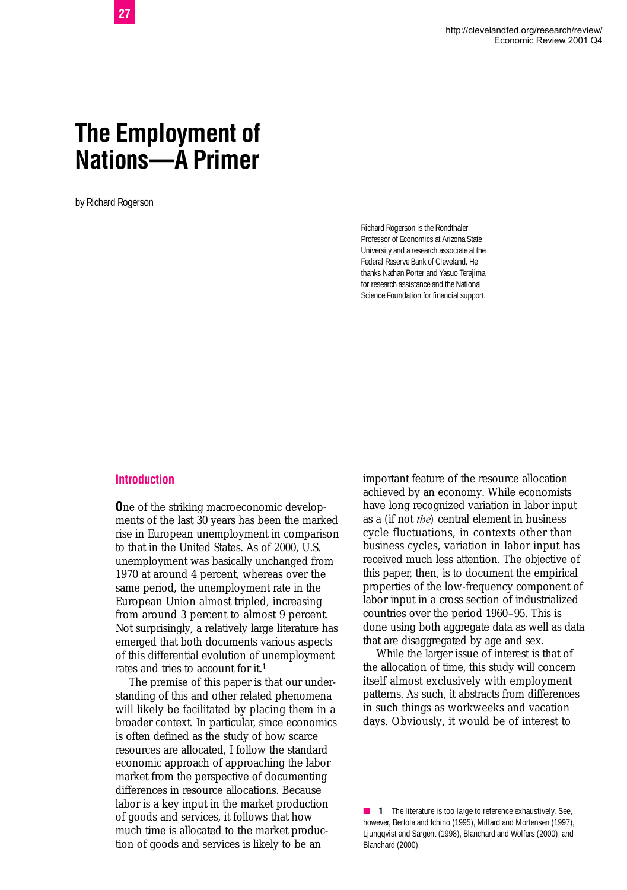# **The Employment of Nations—A Primer**

by Richard Rogerson

Richard Rogerson is the Rondthaler Professor of Economics at Arizona State University and a research associate at the Federal Reserve Bank of Cleveland. He thanks Nathan Porter and Yasuo Terajima for research assistance and the National Science Foundation for financial support.

#### **Introduction**

**O**ne of the striking macroeconomic developments of the last 30 years has been the marked rise in European unemployment in comparison to that in the United States. As of 2000, U.S. unemployment was basically unchanged from 1970 at around 4 percent, whereas over the same period, the unemployment rate in the European Union almost tripled, increasing from around 3 percent to almost 9 percent. Not surprisingly, a relatively large literature has emerged that both documents various aspects of this differential evolution of unemployment rates and tries to account for it.<sup>1</sup>

The premise of this paper is that our understanding of this and other related phenomena will likely be facilitated by placing them in a broader context. In particular, since economics is often defined as the study of how scarce resources are allocated, I follow the standard economic approach of approaching the labor market from the perspective of documenting differences in resource allocations. Because labor is a key input in the market production of goods and services, it follows that how much time is allocated to the market production of goods and services is likely to be an

important feature of the resource allocation achieved by an economy. While economists have long recognized variation in labor input as a (if not *the*) central element in business cycle fluctuations, in contexts other than business cycles, variation in labor input has received much less attention. The objective of this paper, then, is to document the empirical properties of the low-frequency component of labor input in a cross section of industrialized countries over the period 1960–95. This is done using both aggregate data as well as data that are disaggregated by age and sex.

While the larger issue of interest is that of the allocation of time, this study will concern itself almost exclusively with employment patterns. As such, it abstracts from differences in such things as workweeks and vacation days. Obviously, it would be of interest to

■ **1** The literature is too large to reference exhaustively. See, however, Bertola and Ichino (1995), Millard and Mortensen (1997), Ljungqvist and Sargent (1998), Blanchard and Wolfers (2000), and Blanchard (2000).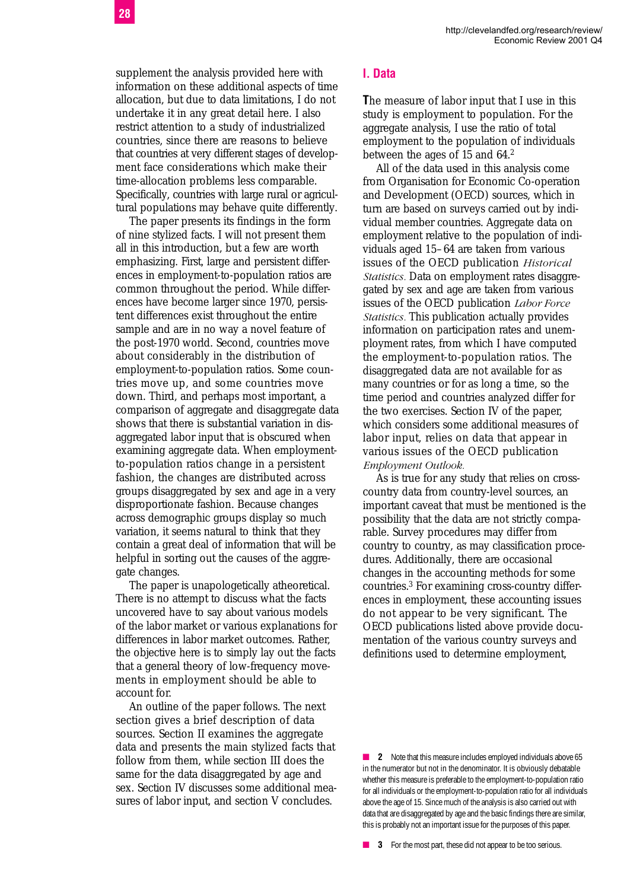supplement the analysis provided here with information on these additional aspects of time allocation, but due to data limitations, I do not undertake it in any great detail here. I also restrict attention to a study of industrialized countries, since there are reasons to believe that countries at very different stages of development face considerations which make their time-allocation problems less comparable. Specifically, countries with large rural or agricultural populations may behave quite differently.

The paper presents its findings in the form of nine stylized facts. I will not present them all in this introduction, but a few are worth emphasizing. First, large and persistent differences in employment-to-population ratios are common throughout the period. While differences have become larger since 1970, persistent differences exist throughout the entire sample and are in no way a novel feature of the post-1970 world. Second, countries move about considerably in the distribution of employment-to-population ratios. Some countries move up, and some countries move down. Third, and perhaps most important, a comparison of aggregate and disaggregate data shows that there is substantial variation in disaggregated labor input that is obscured when examining aggregate data. When employmentto-population ratios change in a persistent fashion, the changes are distributed across groups disaggregated by sex and age in a very disproportionate fashion. Because changes across demographic groups display so much variation, it seems natural to think that they contain a great deal of information that will be helpful in sorting out the causes of the aggregate changes.

The paper is unapologetically atheoretical. There is no attempt to discuss what the facts uncovered have to say about various models of the labor market or various explanations for differences in labor market outcomes. Rather, the objective here is to simply lay out the facts that a general theory of low-frequency movements in employment should be able to account for.

An outline of the paper follows. The next section gives a brief description of data sources. Section II examines the aggregate data and presents the main stylized facts that follow from them, while section III does the same for the data disaggregated by age and sex. Section IV discusses some additional measures of labor input, and section V concludes.

#### **I. Data**

**T**he measure of labor input that I use in this study is employment to population. For the aggregate analysis, I use the ratio of total employment to the population of individuals between the ages of 15 and 64.<sup>2</sup>

All of the data used in this analysis come from Organisation for Economic Co-operation and Development (OECD) sources, which in turn are based on surveys carried out by individual member countries. Aggregate data on employment relative to the population of individuals aged 15–64 are taken from various issues of the OECD publication *Historical Statistics.* Data on employment rates disaggregated by sex and age are taken from various issues of the OECD publication *Labor Force Statistics.* This publication actually provides information on participation rates and unemployment rates, from which I have computed the employment-to-population ratios. The disaggregated data are not available for as many countries or for as long a time, so the time period and countries analyzed differ for the two exercises. Section IV of the paper, which considers some additional measures of labor input, relies on data that appear in various issues of the OECD publication *Employment Outlook.*

As is true for any study that relies on crosscountry data from country-level sources, an important caveat that must be mentioned is the possibility that the data are not strictly comparable. Survey procedures may differ from country to country, as may classification procedures. Additionally, there are occasional changes in the accounting methods for some countries.3 For examining cross-country differences in employment, these accounting issues do not appear to be very significant. The OECD publications listed above provide documentation of the various country surveys and definitions used to determine employment,

■ **2** Note that this measure includes employed individuals above 65 in the numerator but not in the denominator. It is obviously debatable whether this measure is preferable to the employment-to-population ratio for all individuals or the employment-to-population ratio for all individuals above the age of 15. Since much of the analysis is also carried out with data that are disaggregated by age and the basic findings there are similar, this is probably not an important issue for the purposes of this paper.

■ **3** For the most part, these did not appear to be too serious.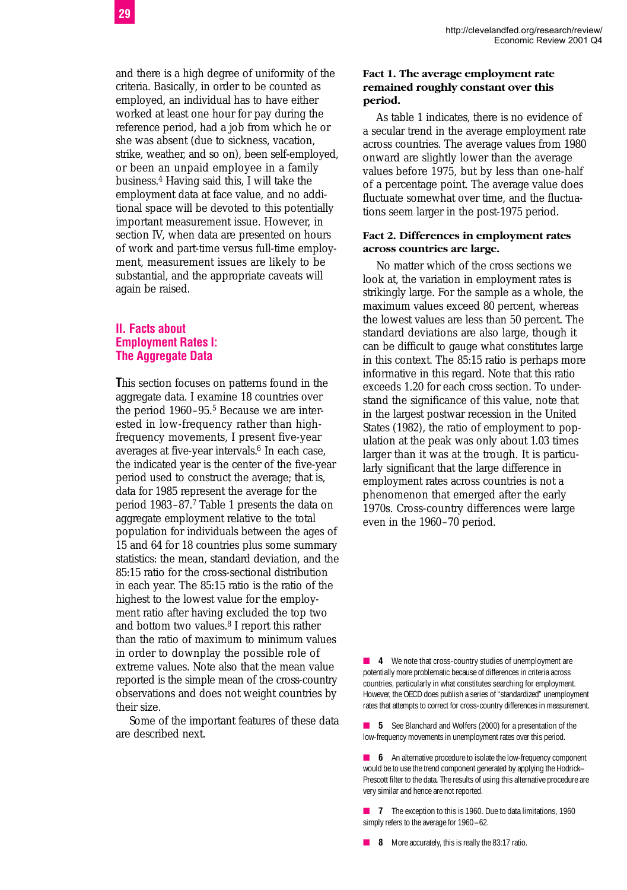and there is a high degree of uniformity of the criteria. Basically, in order to be counted as employed, an individual has to have either worked at least one hour for pay during the reference period, had a job from which he or she was absent (due to sickness, vacation, strike, weather, and so on), been self-employed, or been an unpaid employee in a family business.4 Having said this, I will take the employment data at face value, and no additional space will be devoted to this potentially important measurement issue. However, in section IV, when data are presented on hours of work and part-time versus full-time employment, measurement issues are likely to be substantial, and the appropriate caveats will again be raised.

#### **II. Facts about Employment Rates I: The Aggregate Data**

**T**his section focuses on patterns found in the aggregate data. I examine 18 countries over the period 1960-95.<sup>5</sup> Because we are interested in low-frequency rather than highfrequency movements, I present five-year averages at five-year intervals.<sup>6</sup> In each case, the indicated year is the center of the five-year period used to construct the average; that is, data for 1985 represent the average for the period 1983–87.7 Table 1 presents the data on aggregate employment relative to the total population for individuals between the ages of 15 and 64 for 18 countries plus some summary statistics: the mean, standard deviation, and the 85:15 ratio for the cross-sectional distribution in each year. The 85:15 ratio is the ratio of the highest to the lowest value for the employment ratio after having excluded the top two and bottom two values.8 I report this rather than the ratio of maximum to minimum values in order to downplay the possible role of extreme values. Note also that the mean value reported is the simple mean of the cross-country observations and does not weight countries by their size.

Some of the important features of these data are described next.

#### **Fact 1. The average employment rate remained roughly constant over this period.**

As table 1 indicates, there is no evidence of a secular trend in the average employment rate across countries. The average values from 1980 onward are slightly lower than the average values before 1975, but by less than one-half of a percentage point. The average value does fluctuate somewhat over time, and the fluctuations seem larger in the post-1975 period.

#### **Fact 2. Differences in employment rates across countries are large.**

No matter which of the cross sections we look at, the variation in employment rates is strikingly large. For the sample as a whole, the maximum values exceed 80 percent, whereas the lowest values are less than 50 percent. The standard deviations are also large, though it can be difficult to gauge what constitutes large in this context. The 85:15 ratio is perhaps more informative in this regard. Note that this ratio exceeds 1.20 for each cross section. To understand the significance of this value, note that in the largest postwar recession in the United States (1982), the ratio of employment to population at the peak was only about 1.03 times larger than it was at the trough. It is particularly significant that the large difference in employment rates across countries is not a phenomenon that emerged after the early 1970s. Cross-country differences were large even in the 1960–70 period.

■ **4** We note that cross-country studies of unemployment are potentially more problematic because of differences in criteria across countries, particularly in what constitutes searching for employment. However, the OECD does publish a series of "standardized" unemployment rates that attempts to correct for cross-country differences in measurement.

■ **5** See Blanchard and Wolfers (2000) for a presentation of the low-frequency movements in unemployment rates over this period.

**6** An alternative procedure to isolate the low-frequency component would be to use the trend component generated by applying the Hodrick– Prescott filter to the data. The results of using this alternative procedure are very similar and hence are not reported.

■ **7** The exception to this is 1960. Due to data limitations, 1960 simply refers to the average for 1960–62.

■ **8** More accurately, this is really the 83:17 ratio.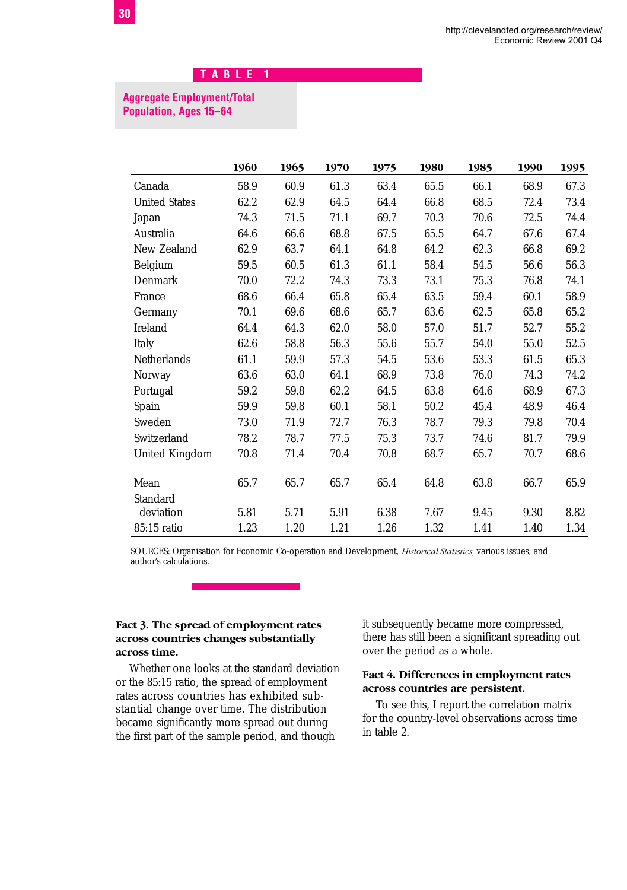#### **Aggregate Employment/Total Population, Ages 15–64**

|                      | 1960 | 1965 | 1970 | 1975 | 1980 | 1985 | 1990 | 1995 |
|----------------------|------|------|------|------|------|------|------|------|
| Canada               | 58.9 | 60.9 | 61.3 | 63.4 | 65.5 | 66.1 | 68.9 | 67.3 |
| <b>United States</b> | 62.2 | 62.9 | 64.5 | 64.4 | 66.8 | 68.5 | 72.4 | 73.4 |
| Japan                | 74.3 | 71.5 | 71.1 | 69.7 | 70.3 | 70.6 | 72.5 | 74.4 |
| Australia            | 64.6 | 66.6 | 68.8 | 67.5 | 65.5 | 64.7 | 67.6 | 67.4 |
| New Zealand          | 62.9 | 63.7 | 64.1 | 64.8 | 64.2 | 62.3 | 66.8 | 69.2 |
| Belgium              | 59.5 | 60.5 | 61.3 | 61.1 | 58.4 | 54.5 | 56.6 | 56.3 |
| Denmark              | 70.0 | 72.2 | 74.3 | 73.3 | 73.1 | 75.3 | 76.8 | 74.1 |
| France               | 68.6 | 66.4 | 65.8 | 65.4 | 63.5 | 59.4 | 60.1 | 58.9 |
| Germany              | 70.1 | 69.6 | 68.6 | 65.7 | 63.6 | 62.5 | 65.8 | 65.2 |
| Ireland              | 64.4 | 64.3 | 62.0 | 58.0 | 57.0 | 51.7 | 52.7 | 55.2 |
| Italy                | 62.6 | 58.8 | 56.3 | 55.6 | 55.7 | 54.0 | 55.0 | 52.5 |
| Netherlands          | 61.1 | 59.9 | 57.3 | 54.5 | 53.6 | 53.3 | 61.5 | 65.3 |
| Norway               | 63.6 | 63.0 | 64.1 | 68.9 | 73.8 | 76.0 | 74.3 | 74.2 |
| Portugal             | 59.2 | 59.8 | 62.2 | 64.5 | 63.8 | 64.6 | 68.9 | 67.3 |
| Spain                | 59.9 | 59.8 | 60.1 | 58.1 | 50.2 | 45.4 | 48.9 | 46.4 |
| Sweden               | 73.0 | 71.9 | 72.7 | 76.3 | 78.7 | 79.3 | 79.8 | 70.4 |
| Switzerland          | 78.2 | 78.7 | 77.5 | 75.3 | 73.7 | 74.6 | 81.7 | 79.9 |
| United Kingdom       | 70.8 | 71.4 | 70.4 | 70.8 | 68.7 | 65.7 | 70.7 | 68.6 |
| Mean                 | 65.7 | 65.7 | 65.7 | 65.4 | 64.8 | 63.8 | 66.7 | 65.9 |
| Standard             |      |      |      |      |      |      |      |      |
| deviation            | 5.81 | 5.71 | 5.91 | 6.38 | 7.67 | 9.45 | 9.30 | 8.82 |
| 85:15 ratio          | 1.23 | 1.20 | 1.21 | 1.26 | 1.32 | 1.41 | 1.40 | 1.34 |

SOURCES: Organisation for Economic Co-operation and Development, *Historical Statistics,* various issues; and author's calculations.

#### **Fact 3. The spread of employment rates across countries changes substantially across time.**

Whether one looks at the standard deviation or the 85:15 ratio, the spread of employment rates across countries has exhibited substantial change over time. The distribution became significantly more spread out during the first part of the sample period, and though

it subsequently became more compressed, there has still been a significant spreading out over the period as a whole.

#### **Fact 4. Differences in employment rates across countries are persistent.**

To see this, I report the correlation matrix for the country-level observations across time in table 2.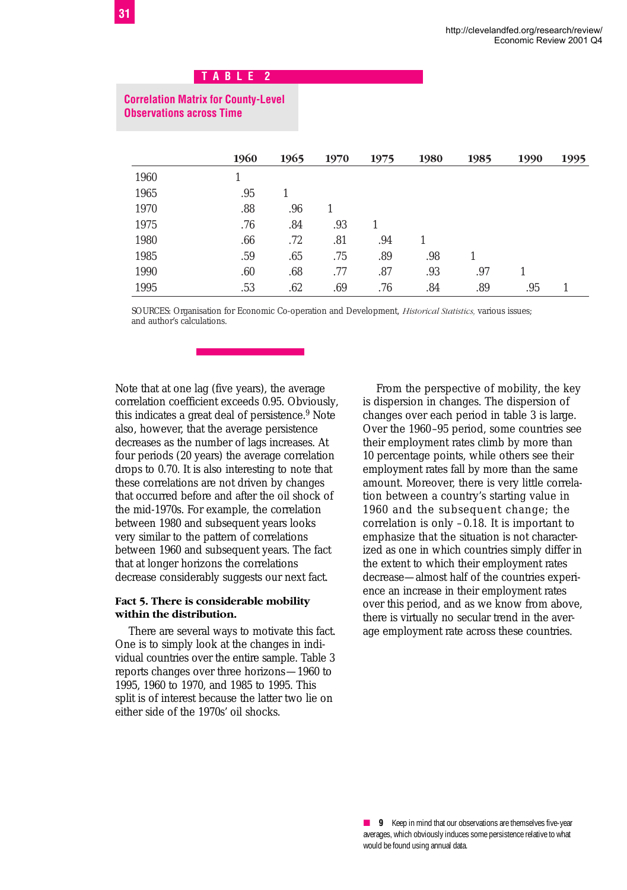## **Correlation Matrix for County-Level Observations across Time**

|      | 1960 | 1965 | 1970 | 1975 | 1980 | 1985 | 1990 | 1995 |
|------|------|------|------|------|------|------|------|------|
| 1960 |      |      |      |      |      |      |      |      |
| 1965 | .95  |      |      |      |      |      |      |      |
| 1970 | .88  | .96  |      |      |      |      |      |      |
| 1975 | .76  | .84  | .93  |      |      |      |      |      |
| 1980 | .66  | .72  | .81  | .94  |      |      |      |      |
| 1985 | .59  | .65  | .75  | .89  | .98  |      |      |      |
| 1990 | .60  | .68  | .77  | .87  | .93  | .97  |      |      |
| 1995 | .53  | .62  | .69  | .76  | .84  | .89  | .95  |      |

SOURCES: Organisation for Economic Co-operation and Development, *Historical Statistics,* various issues; and author's calculations.

Note that at one lag (five years), the average correlation coefficient exceeds 0.95. Obviously, this indicates a great deal of persistence.<sup>9</sup> Note also, however, that the average persistence decreases as the number of lags increases. At four periods (20 years) the average correlation drops to 0.70. It is also interesting to note that these correlations are not driven by changes that occurred before and after the oil shock of the mid-1970s. For example, the correlation between 1980 and subsequent years looks very similar to the pattern of correlations between 1960 and subsequent years. The fact that at longer horizons the correlations decrease considerably suggests our next fact.

#### **Fact 5. There is considerable mobility within the distribution.**

There are several ways to motivate this fact. One is to simply look at the changes in individual countries over the entire sample. Table 3 reports changes over three horizons—1960 to 1995, 1960 to 1970, and 1985 to 1995. This split is of interest because the latter two lie on either side of the 1970s' oil shocks.

From the perspective of mobility, the key is dispersion in changes. The dispersion of changes over each period in table 3 is large. Over the 1960–95 period, some countries see their employment rates climb by more than 10 percentage points, while others see their employment rates fall by more than the same amount. Moreover, there is very little correlation between a country's starting value in 1960 and the subsequent change; the correlation is only –0.18. It is important to emphasize that the situation is not characterized as one in which countries simply differ in the extent to which their employment rates decrease—almost half of the countries experience an increase in their employment rates over this period, and as we know from above, there is virtually no secular trend in the average employment rate across these countries.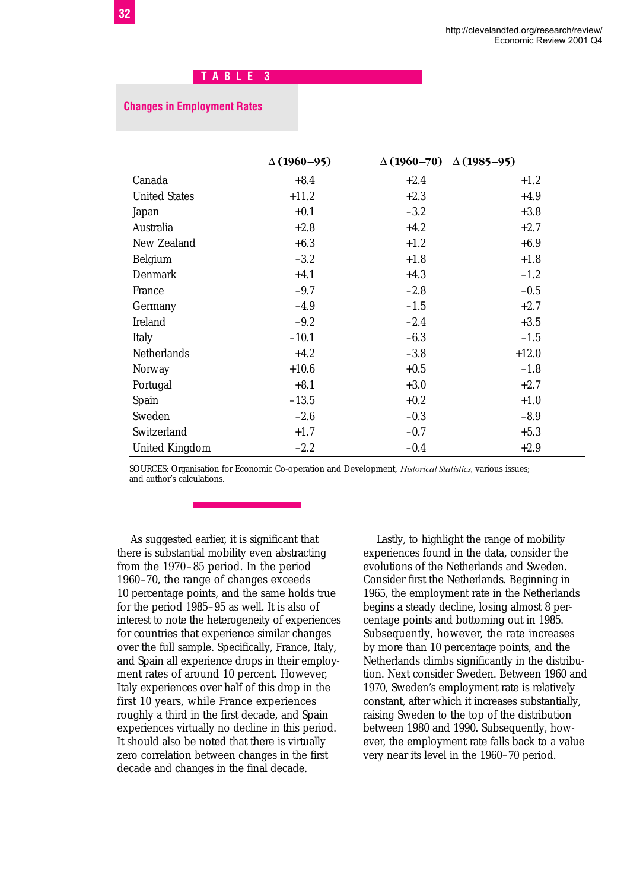#### **Changes in Employment Rates**

|                      | $\Delta(1960 - 95)$ |        | $\Delta(1960 - 70)$ $\Delta(1985 - 95)$ |
|----------------------|---------------------|--------|-----------------------------------------|
| Canada               | $+8.4$              | $+2.4$ | $+1.2$                                  |
| <b>United States</b> | $+11.2$             | $+2.3$ | $+4.9$                                  |
| Japan                | $+0.1$              | $-3.2$ | $+3.8$                                  |
| Australia            | $+2.8$              | $+4.2$ | $+2.7$                                  |
| New Zealand          | $+6.3$              | $+1.2$ | $+6.9$                                  |
| Belgium              | $-3.2$              | $+1.8$ | $+1.8$                                  |
| Denmark              | $+4.1$              | $+4.3$ | $-1.2$                                  |
| France               | $-9.7$              | $-2.8$ | $-0.5$                                  |
| Germany              | $-4.9$              | $-1.5$ | $+2.7$                                  |
| Ireland              | $-9.2$              | $-2.4$ | $+3.5$                                  |
| Italy                | $-10.1$             | $-6.3$ | $-1.5$                                  |
| Netherlands          | $+4.2$              | $-3.8$ | $+12.0$                                 |
| Norway               | $+10.6$             | $+0.5$ | $-1.8$                                  |
| Portugal             | $+8.1$              | $+3.0$ | $+2.7$                                  |
| Spain                | $-13.5$             | $+0.2$ | $+1.0$                                  |
| Sweden               | $-2.6$              | $-0.3$ | $-8.9$                                  |
| Switzerland          | $+1.7$              | $-0.7$ | $+5.3$                                  |
| United Kingdom       | $-2.2$              | $-0.4$ | $+2.9$                                  |

SOURCES: Organisation for Economic Co-operation and Development, *Historical Statistics,* various issues; and author's calculations.

As suggested earlier, it is significant that there is substantial mobility even abstracting from the 1970–85 period. In the period 1960–70, the range of changes exceeds 10 percentage points, and the same holds true for the period 1985–95 as well. It is also of interest to note the heterogeneity of experiences for countries that experience similar changes over the full sample. Specifically, France, Italy, and Spain all experience drops in their employment rates of around 10 percent. However, Italy experiences over half of this drop in the first 10 years, while France experiences roughly a third in the first decade, and Spain experiences virtually no decline in this period. It should also be noted that there is virtually zero correlation between changes in the first decade and changes in the final decade.

Lastly, to highlight the range of mobility experiences found in the data, consider the evolutions of the Netherlands and Sweden. Consider first the Netherlands. Beginning in 1965, the employment rate in the Netherlands begins a steady decline, losing almost 8 percentage points and bottoming out in 1985. Subsequently, however, the rate increases by more than 10 percentage points, and the Netherlands climbs significantly in the distribution. Next consider Sweden. Between 1960 and 1970, Sweden's employment rate is relatively constant, after which it increases substantially, raising Sweden to the top of the distribution between 1980 and 1990. Subsequently, however, the employment rate falls back to a value very near its level in the 1960–70 period.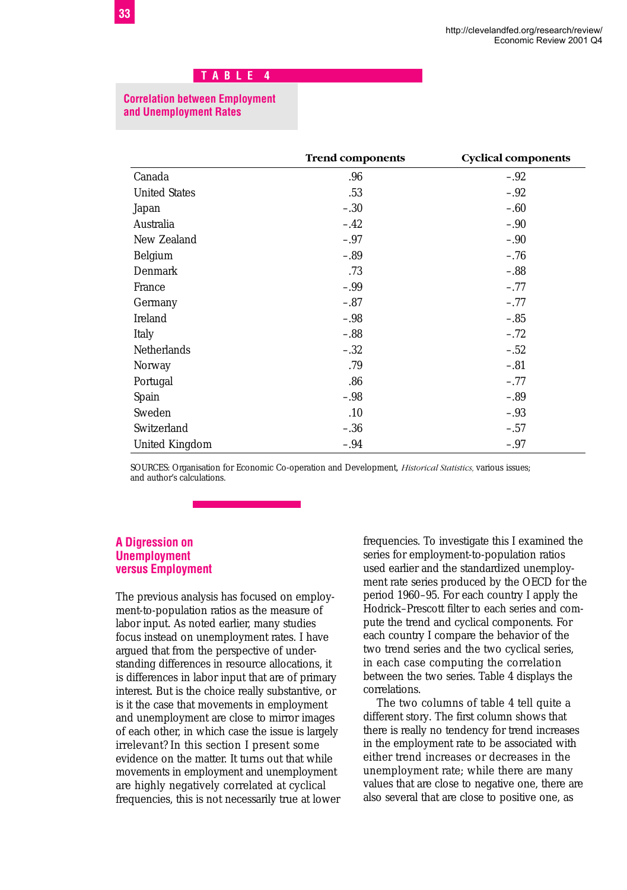#### **Correlation between Employment and Unemployment Rates**

|                      | <b>Trend components</b> | <b>Cyclical components</b> |
|----------------------|-------------------------|----------------------------|
| Canada               | .96                     | $-.92$                     |
| <b>United States</b> | .53                     | $-.92$                     |
| Japan                | $-.30$                  | $-.60$                     |
| Australia            | $-.42$                  | $-.90$                     |
| New Zealand          | $-.97$                  | $-.90$                     |
| Belgium              | $-.89$                  | $-.76$                     |
| Denmark              | .73                     | $-.88$                     |
| France               | $-.99$                  | $-.77$                     |
| Germany              | $-.87$                  | $-.77$                     |
| Ireland              | $-.98$                  | $-.85$                     |
| Italy                | $-.88$                  | $-.72$                     |
| Netherlands          | $-.32$                  | $-.52$                     |
| Norway               | .79                     | $-.81$                     |
| Portugal             | .86                     | $-.77$                     |
| Spain                | $-.98$                  | $-.89$                     |
| Sweden               | .10                     | $-.93$                     |
| Switzerland          | $-.36$                  | $-.57$                     |
| United Kingdom       | $-.94$                  | $-.97$                     |

SOURCES: Organisation for Economic Co-operation and Development, *Historical Statistics,* various issues; and author's calculations.

#### **A Digression on Unemployment versus Employment**

The previous analysis has focused on employment-to-population ratios as the measure of labor input. As noted earlier, many studies focus instead on unemployment rates. I have argued that from the perspective of understanding differences in resource allocations, it is differences in labor input that are of primary interest. But is the choice really substantive, or is it the case that movements in employment and unemployment are close to mirror images of each other, in which case the issue is largely irrelevant? In this section I present some evidence on the matter. It turns out that while movements in employment and unemployment are highly negatively correlated at cyclical frequencies, this is not necessarily true at lower frequencies. To investigate this I examined the series for employment-to-population ratios used earlier and the standardized unemployment rate series produced by the OECD for the period 1960–95. For each country I apply the Hodrick–Prescott filter to each series and compute the trend and cyclical components. For each country I compare the behavior of the two trend series and the two cyclical series, in each case computing the correlation between the two series. Table 4 displays the correlations.

The two columns of table 4 tell quite a different story. The first column shows that there is really no tendency for trend increases in the employment rate to be associated with either trend increases or decreases in the unemployment rate; while there are many values that are close to negative one, there are also several that are close to positive one, as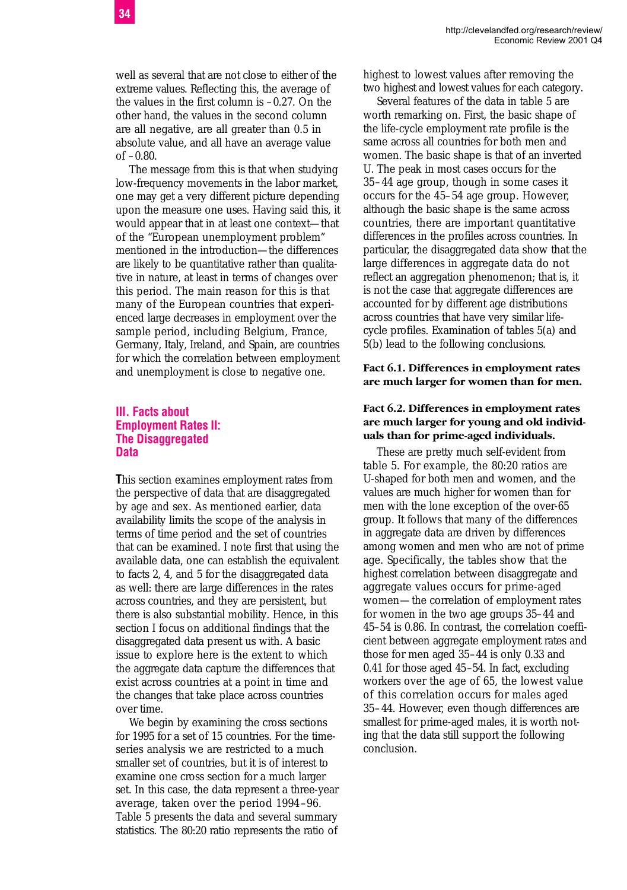well as several that are not close to either of the extreme values. Reflecting this, the average of the values in the first column is –0.27. On the other hand, the values in the second column are all negative, are all greater than 0.5 in absolute value, and all have an average value of –0.80.

The message from this is that when studying low-frequency movements in the labor market, one may get a very different picture depending upon the measure one uses. Having said this, it would appear that in at least one context—that of the "European unemployment problem" mentioned in the introduction—the differences are likely to be quantitative rather than qualitative in nature, at least in terms of changes over this period. The main reason for this is that many of the European countries that experienced large decreases in employment over the sample period, including Belgium, France, Germany, Italy, Ireland, and Spain, are countries for which the correlation between employment and unemployment is close to negative one.

#### **III. Facts about Employment Rates II: The Disaggregated Data**

**T**his section examines employment rates from the perspective of data that are disaggregated by age and sex. As mentioned earlier, data availability limits the scope of the analysis in terms of time period and the set of countries that can be examined. I note first that using the available data, one can establish the equivalent to facts 2, 4, and 5 for the disaggregated data as well: there are large differences in the rates across countries, and they are persistent, but there is also substantial mobility. Hence, in this section I focus on additional findings that the disaggregated data present us with. A basic issue to explore here is the extent to which the aggregate data capture the differences that exist across countries at a point in time and the changes that take place across countries over time.

We begin by examining the cross sections for 1995 for a set of 15 countries. For the timeseries analysis we are restricted to a much smaller set of countries, but it is of interest to examine one cross section for a much larger set. In this case, the data represent a three-year average, taken over the period 1994–96. Table 5 presents the data and several summary statistics. The 80:20 ratio represents the ratio of

highest to lowest values after removing the two highest and lowest values for each category.

Several features of the data in table 5 are worth remarking on. First, the basic shape of the life-cycle employment rate profile is the same across all countries for both men and women. The basic shape is that of an inverted U. The peak in most cases occurs for the 35–44 age group, though in some cases it occurs for the 45–54 age group. However, although the basic shape is the same across countries, there are important quantitative differences in the profiles across countries. In particular, the disaggregated data show that the large differences in aggregate data do not reflect an aggregation phenomenon; that is, it is not the case that aggregate differences are accounted for by different age distributions across countries that have very similar lifecycle profiles. Examination of tables 5(a) and 5(b) lead to the following conclusions.

#### **Fact 6.1. Differences in employment rates are much larger for women than for men.**

#### **Fact 6.2. Differences in employment rates are much larger for young and old individuals than for prime-aged individuals.**

These are pretty much self-evident from table 5. For example, the 80:20 ratios are U-shaped for both men and women, and the values are much higher for women than for men with the lone exception of the over-65 group. It follows that many of the differences in aggregate data are driven by differences among women and men who are not of prime age. Specifically, the tables show that the highest correlation between disaggregate and aggregate values occurs for prime-aged women—the correlation of employment rates for women in the two age groups 35–44 and 45–54 is 0.86. In contrast, the correlation coefficient between aggregate employment rates and those for men aged 35–44 is only 0.33 and 0.41 for those aged 45–54. In fact, excluding workers over the age of 65, the lowest value of this correlation occurs for males aged 35–44. However, even though differences are smallest for prime-aged males, it is worth noting that the data still support the following conclusion.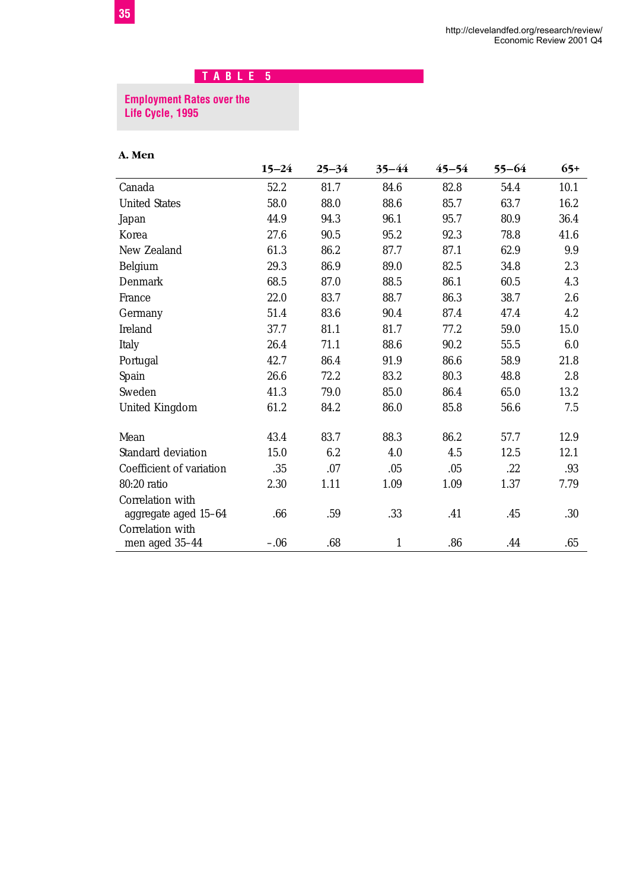#### **Employment Rates over the Life Cycle, 1995**

#### **A. Men**

|                          | $15 - 24$ | $25 - 34$ | 35–44 | 45–54 | 55–64 | $65+$ |
|--------------------------|-----------|-----------|-------|-------|-------|-------|
| Canada                   | 52.2      | 81.7      | 84.6  | 82.8  | 54.4  | 10.1  |
| <b>United States</b>     | 58.0      | 88.0      | 88.6  | 85.7  | 63.7  | 16.2  |
| Japan                    | 44.9      | 94.3      | 96.1  | 95.7  | 80.9  | 36.4  |
| Korea                    | 27.6      | 90.5      | 95.2  | 92.3  | 78.8  | 41.6  |
| New Zealand              | 61.3      | 86.2      | 87.7  | 87.1  | 62.9  | 9.9   |
| Belgium                  | 29.3      | 86.9      | 89.0  | 82.5  | 34.8  | 2.3   |
| Denmark                  | 68.5      | 87.0      | 88.5  | 86.1  | 60.5  | 4.3   |
| France                   | 22.0      | 83.7      | 88.7  | 86.3  | 38.7  | 2.6   |
| Germany                  | 51.4      | 83.6      | 90.4  | 87.4  | 47.4  | 4.2   |
| Ireland                  | 37.7      | 81.1      | 81.7  | 77.2  | 59.0  | 15.0  |
| Italy                    | 26.4      | 71.1      | 88.6  | 90.2  | 55.5  | 6.0   |
| Portugal                 | 42.7      | 86.4      | 91.9  | 86.6  | 58.9  | 21.8  |
| Spain                    | 26.6      | 72.2      | 83.2  | 80.3  | 48.8  | 2.8   |
| Sweden                   | 41.3      | 79.0      | 85.0  | 86.4  | 65.0  | 13.2  |
| <b>United Kingdom</b>    | 61.2      | 84.2      | 86.0  | 85.8  | 56.6  | 7.5   |
| Mean                     | 43.4      | 83.7      | 88.3  | 86.2  | 57.7  | 12.9  |
| Standard deviation       | 15.0      | 6.2       | 4.0   | 4.5   | 12.5  | 12.1  |
| Coefficient of variation | .35       | .07       | .05   | .05   | .22   | .93   |
| 80:20 ratio              | 2.30      | 1.11      | 1.09  | 1.09  | 1.37  | 7.79  |
| Correlation with         |           |           |       |       |       |       |
| aggregate aged 15-64     | .66       | .59       | .33   | .41   | .45   | .30   |
| Correlation with         |           |           |       |       |       |       |
| men aged 35-44           | $-.06$    | .68       | 1     | .86   | .44   | .65   |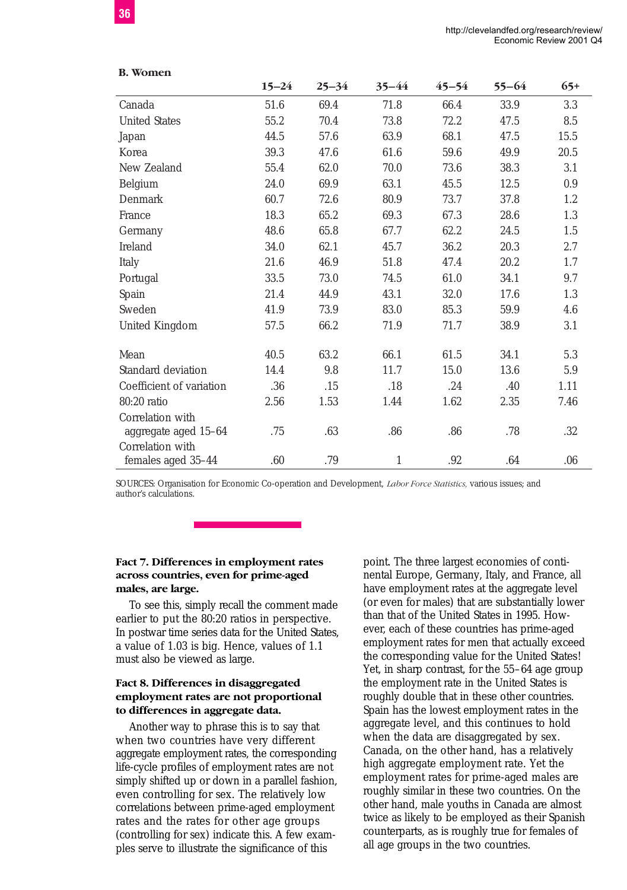|                          | $15 - 24$ | $25 - 34$ | $35 - 44$    | $45 - 54$ | $55 - 64$ | $65+$ |
|--------------------------|-----------|-----------|--------------|-----------|-----------|-------|
| Canada                   | 51.6      | 69.4      | 71.8         | 66.4      | 33.9      | 3.3   |
| <b>United States</b>     | 55.2      | 70.4      | 73.8         | 72.2      | 47.5      | 8.5   |
|                          |           |           |              |           |           |       |
| Japan                    | 44.5      | 57.6      | 63.9         | 68.1      | 47.5      | 15.5  |
| Korea                    | 39.3      | 47.6      | 61.6         | 59.6      | 49.9      | 20.5  |
| New Zealand              | 55.4      | 62.0      | 70.0         | 73.6      | 38.3      | 3.1   |
| Belgium                  | 24.0      | 69.9      | 63.1         | 45.5      | 12.5      | 0.9   |
| Denmark                  | 60.7      | 72.6      | 80.9         | 73.7      | 37.8      | 1.2   |
| France                   | 18.3      | 65.2      | 69.3         | 67.3      | 28.6      | 1.3   |
| Germany                  | 48.6      | 65.8      | 67.7         | 62.2      | 24.5      | 1.5   |
| Ireland                  | 34.0      | 62.1      | 45.7         | 36.2      | 20.3      | 2.7   |
| Italy                    | 21.6      | 46.9      | 51.8         | 47.4      | 20.2      | 1.7   |
| Portugal                 | 33.5      | 73.0      | 74.5         | 61.0      | 34.1      | 9.7   |
| Spain                    | 21.4      | 44.9      | 43.1         | 32.0      | 17.6      | 1.3   |
| Sweden                   | 41.9      | 73.9      | 83.0         | 85.3      | 59.9      | 4.6   |
| United Kingdom           | 57.5      | 66.2      | 71.9         | 71.7      | 38.9      | 3.1   |
| Mean                     | 40.5      | 63.2      | 66.1         | 61.5      | 34.1      | 5.3   |
| Standard deviation       | 14.4      | 9.8       | 11.7         | 15.0      | 13.6      | 5.9   |
| Coefficient of variation | .36       | .15       | .18          | .24       | .40       | 1.11  |
| 80:20 ratio              | 2.56      | 1.53      | 1.44         | 1.62      | 2.35      | 7.46  |
| Correlation with         |           |           |              |           |           |       |
| aggregate aged 15-64     | .75       | .63       | .86          | .86       | .78       | .32   |
| Correlation with         |           |           |              |           |           |       |
| females aged 35-44       | .60       | .79       | $\mathbf{1}$ | .92       | .64       | .06   |

SOURCES: Organisation for Economic Co-operation and Development, *Labor Force Statistics,* various issues; and author's calculations.

#### **Fact 7. Differences in employment rates across countries, even for prime-aged males, are large.**

To see this, simply recall the comment made earlier to put the 80:20 ratios in perspective. In postwar time series data for the United States, a value of 1.03 is big. Hence, values of 1.1 must also be viewed as large.

#### **Fact 8. Differences in disaggregated employment rates are not proportional to differences in aggregate data.**

Another way to phrase this is to say that when two countries have very different aggregate employment rates, the corresponding life-cycle profiles of employment rates are not simply shifted up or down in a parallel fashion, even controlling for sex. The relatively low correlations between prime-aged employment rates and the rates for other age groups (controlling for sex) indicate this. A few examples serve to illustrate the significance of this

point. The three largest economies of continental Europe, Germany, Italy, and France, all have employment rates at the aggregate level (or even for males) that are substantially lower than that of the United States in 1995. However, each of these countries has prime-aged employment rates for men that actually exceed the corresponding value for the United States! Yet, in sharp contrast, for the 55–64 age group the employment rate in the United States is roughly double that in these other countries. Spain has the lowest employment rates in the aggregate level, and this continues to hold when the data are disaggregated by sex. Canada, on the other hand, has a relatively high aggregate employment rate. Yet the employment rates for prime-aged males are roughly similar in these two countries. On the other hand, male youths in Canada are almost twice as likely to be employed as their Spanish counterparts, as is roughly true for females of all age groups in the two countries.

**B. Women**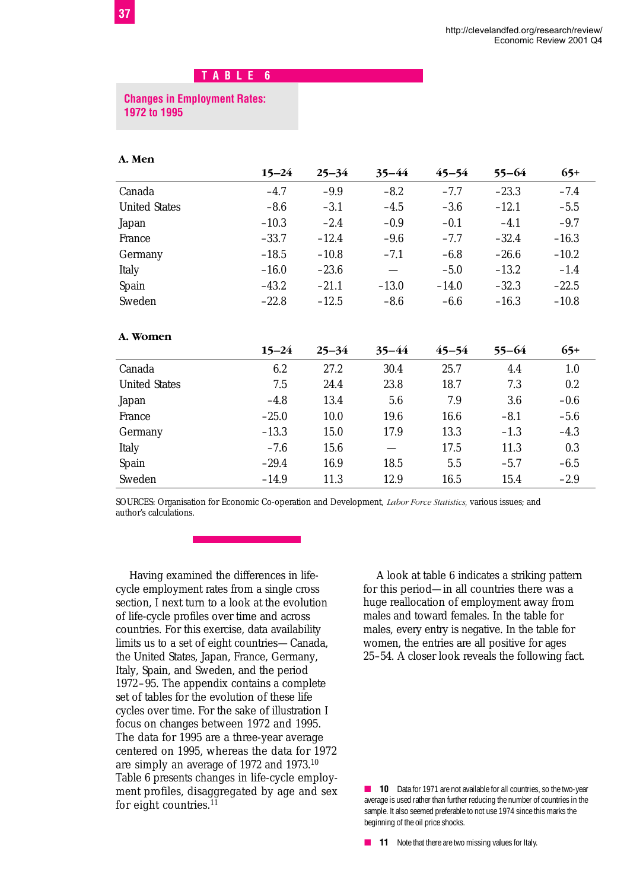#### **Changes in Employment Rates: 1972 to 1995**

#### **A. Men**

|                      | $15 - 24$ | $25 - 34$ | $35 - 44$                       | $45 - 54$ | $55 - 64$ | $65+$   |
|----------------------|-----------|-----------|---------------------------------|-----------|-----------|---------|
| Canada               | $-4.7$    | $-9.9$    | $-8.2$                          | $-7.7$    | $-23.3$   | $-7.4$  |
| <b>United States</b> | $-8.6$    | $-3.1$    | $-4.5$                          | $-3.6$    | $-12.1$   | $-5.5$  |
| Japan                | $-10.3$   | $-2.4$    | $-0.9$                          | $-0.1$    | $-4.1$    | $-9.7$  |
| France               | $-33.7$   | $-12.4$   | $-9.6$                          | $-7.7$    | $-32.4$   | $-16.3$ |
| Germany              | $-18.5$   | $-10.8$   | $-7.1$                          | $-6.8$    | $-26.6$   | $-10.2$ |
| Italy                | $-16.0$   | $-23.6$   | $\hspace{0.1mm}-\hspace{0.1mm}$ | $-5.0$    | $-13.2$   | $-1.4$  |
| Spain                | $-43.2$   | $-21.1$   | $-13.0$                         | $-14.0$   | $-32.3$   | $-22.5$ |
| Sweden               | $-22.8$   | $-12.5$   | $-8.6$                          | $-6.6$    | $-16.3$   | $-10.8$ |
| A. Women             |           |           |                                 |           |           |         |
|                      | $15 - 24$ | $25 - 34$ | $35 - 44$                       | $45 - 54$ | $55 - 64$ | $65+$   |
| Canada               | 6.2       | 27.2      | 30.4                            | 25.7      | 4.4       | 1.0     |
| <b>United States</b> | 7.5       | 24.4      | 23.8                            | 18.7      | 7.3       | $0.2\,$ |
| Japan                | $-4.8$    | 13.4      | 5.6                             | 7.9       | 3.6       | $-0.6$  |
| France               | $-25.0$   | 10.0      | 19.6                            | 16.6      | $-8.1$    | $-5.6$  |
| Germany              | $-13.3$   | 15.0      | 17.9                            | 13.3      | $-1.3$    | $-4.3$  |
| Italy                | $-7.6$    | 15.6      |                                 | 17.5      | 11.3      | 0.3     |
| Spain                | $-29.4$   | 16.9      | 18.5                            | 5.5       | $-5.7$    | $-6.5$  |
| Sweden               | $-14.9$   | 11.3      | 12.9                            | 16.5      | 15.4      | $-2.9$  |

SOURCES: Organisation for Economic Co-operation and Development, *Labor Force Statistics,* various issues; and author's calculations.

Having examined the differences in lifecycle employment rates from a single cross section, I next turn to a look at the evolution of life-cycle profiles over time and across countries. For this exercise, data availability limits us to a set of eight countries—Canada, the United States, Japan, France, Germany, Italy, Spain, and Sweden, and the period 1972–95. The appendix contains a complete set of tables for the evolution of these life cycles over time. For the sake of illustration I focus on changes between 1972 and 1995. The data for 1995 are a three-year average centered on 1995, whereas the data for 1972 are simply an average of 1972 and 1973.10 Table 6 presents changes in life-cycle employment profiles, disaggregated by age and sex for eight countries.<sup>11</sup>

A look at table 6 indicates a striking pattern for this period—in all countries there was a huge reallocation of employment away from males and toward females. In the table for males, every entry is negative. In the table for women, the entries are all positive for ages 25–54. A closer look reveals the following fact.

■ **10** Data for 1971 are not available for all countries, so the two-year average is used rather than further reducing the number of countries in the sample. It also seemed preferable to not use 1974 since this marks the beginning of the oil price shocks.

■ **11** Note that there are two missing values for Italy.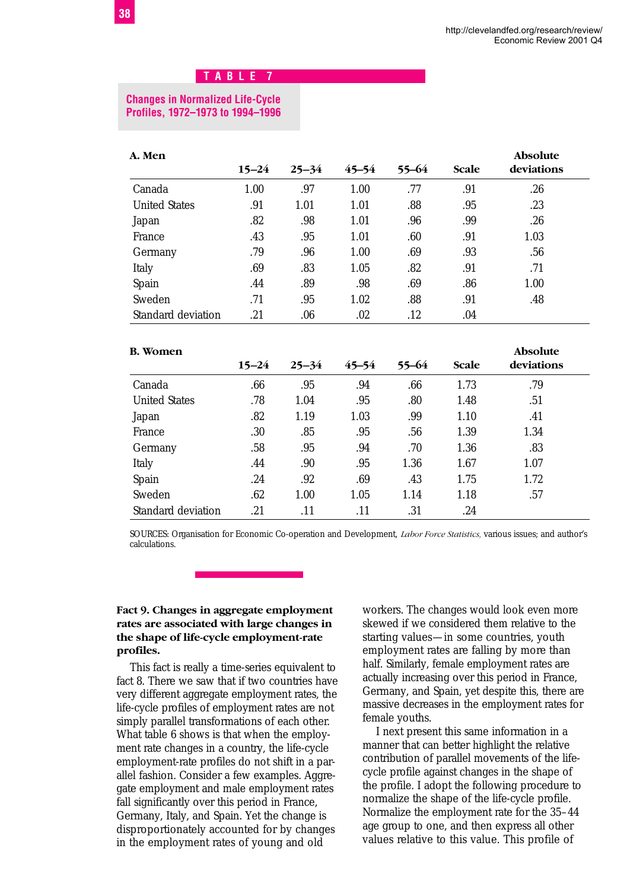#### **Changes in Normalized Life-Cycle Profiles, 1972–1973 to 1994–1996**

| A. Men               |           |           |           |           |       | <b>Absolute</b> |
|----------------------|-----------|-----------|-----------|-----------|-------|-----------------|
|                      | $15 - 24$ | $25 - 34$ | $45 - 54$ | $55 - 64$ | Scale | deviations      |
| Canada               | 1.00      | .97       | 1.00      | .77       | .91   | .26             |
| <b>United States</b> | .91       | 1.01      | 1.01      | .88       | .95   | .23             |
| Japan                | .82       | .98       | 1.01      | .96       | .99   | .26             |
| France               | .43       | .95       | 1.01      | .60       | .91   | 1.03            |
| Germany              | .79       | .96       | 1.00      | .69       | .93   | .56             |
| Italy                | .69       | .83       | 1.05      | .82       | .91   | .71             |
| Spain                | .44       | .89       | .98       | .69       | .86   | 1.00            |
| Sweden               | .71       | .95       | 1.02      | .88       | .91   | .48             |
| Standard deviation   | .21       | .06       | .02       | .12       | .04   |                 |

| <b>B.</b> Women      |           |           |           |       |       | <b>Absolute</b> |
|----------------------|-----------|-----------|-----------|-------|-------|-----------------|
|                      | $15 - 24$ | $25 - 34$ | $45 - 54$ | 55-64 | Scale | deviations      |
| Canada               | .66       | .95       | .94       | .66   | 1.73  | .79             |
| <b>United States</b> | .78       | 1.04      | .95       | .80   | 1.48  | .51             |
| Japan                | .82       | 1.19      | 1.03      | .99   | 1.10  | .41             |
| France               | .30       | .85       | .95       | .56   | 1.39  | 1.34            |
| Germany              | .58       | .95       | .94       | .70   | 1.36  | .83             |
| Italy                | .44       | .90       | .95       | 1.36  | 1.67  | 1.07            |
| Spain                | .24       | .92       | .69       | .43   | 1.75  | 1.72            |
| Sweden               | .62       | 1.00      | 1.05      | 1.14  | 1.18  | .57             |
| Standard deviation   | .21       | .11       | .11       | .31   | .24   |                 |

SOURCES: Organisation for Economic Co-operation and Development, *Labor Force Statistics,* various issues; and author's calculations.

#### **Fact 9. Changes in aggregate employment rates are associated with large changes in the shape of life-cycle employment-rate profiles.**

This fact is really a time-series equivalent to fact 8. There we saw that if two countries have very different aggregate employment rates, the life-cycle profiles of employment rates are not simply parallel transformations of each other. What table 6 shows is that when the employment rate changes in a country, the life-cycle employment-rate profiles do not shift in a parallel fashion. Consider a few examples. Aggregate employment and male employment rates fall significantly over this period in France, Germany, Italy, and Spain. Yet the change is disproportionately accounted for by changes in the employment rates of young and old

workers. The changes would look even more skewed if we considered them relative to the starting values—in some countries, youth employment rates are falling by more than half. Similarly, female employment rates are actually increasing over this period in France, Germany, and Spain, yet despite this, there are massive decreases in the employment rates for female youths.

I next present this same information in a manner that can better highlight the relative contribution of parallel movements of the lifecycle profile against changes in the shape of the profile. I adopt the following procedure to normalize the shape of the life-cycle profile. Normalize the employment rate for the 35–44 age group to one, and then express all other values relative to this value. This profile of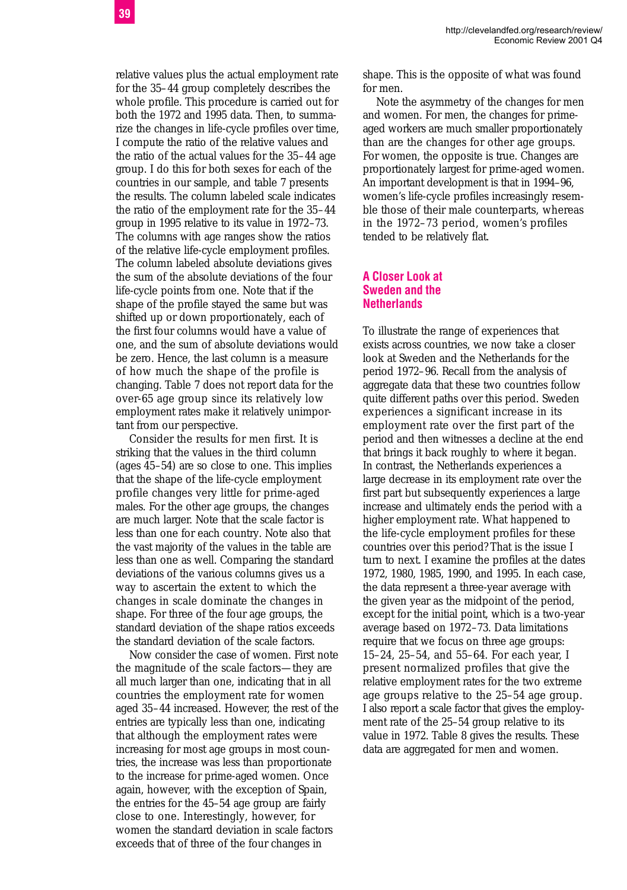relative values plus the actual employment rate for the 35–44 group completely describes the whole profile. This procedure is carried out for both the 1972 and 1995 data. Then, to summarize the changes in life-cycle profiles over time, I compute the ratio of the relative values and the ratio of the actual values for the 35–44 age group. I do this for both sexes for each of the countries in our sample, and table 7 presents the results. The column labeled scale indicates the ratio of the employment rate for the 35–44 group in 1995 relative to its value in 1972–73. The columns with age ranges show the ratios of the relative life-cycle employment profiles. The column labeled absolute deviations gives the sum of the absolute deviations of the four life-cycle points from one. Note that if the shape of the profile stayed the same but was shifted up or down proportionately, each of the first four columns would have a value of one, and the sum of absolute deviations would be zero. Hence, the last column is a measure of how much the shape of the profile is changing. Table 7 does not report data for the over-65 age group since its relatively low employment rates make it relatively unimportant from our perspective.

Consider the results for men first. It is striking that the values in the third column (ages 45–54) are so close to one. This implies that the shape of the life-cycle employment profile changes very little for prime-aged males. For the other age groups, the changes are much larger. Note that the scale factor is less than one for each country. Note also that the vast majority of the values in the table are less than one as well. Comparing the standard deviations of the various columns gives us a way to ascertain the extent to which the changes in scale dominate the changes in shape. For three of the four age groups, the standard deviation of the shape ratios exceeds the standard deviation of the scale factors.

Now consider the case of women. First note the magnitude of the scale factors—they are all much larger than one, indicating that in all countries the employment rate for women aged 35–44 increased. However, the rest of the entries are typically less than one, indicating that although the employment rates were increasing for most age groups in most countries, the increase was less than proportionate to the increase for prime-aged women. Once again, however, with the exception of Spain, the entries for the 45–54 age group are fairly close to one. Interestingly, however, for women the standard deviation in scale factors exceeds that of three of the four changes in

shape. This is the opposite of what was found for men.

Note the asymmetry of the changes for men and women. For men, the changes for primeaged workers are much smaller proportionately than are the changes for other age groups. For women, the opposite is true. Changes are proportionately largest for prime-aged women. An important development is that in 1994–96, women's life-cycle profiles increasingly resemble those of their male counterparts, whereas in the 1972–73 period, women's profiles tended to be relatively flat.

#### **A Closer Look at Sweden and the Netherlands**

To illustrate the range of experiences that exists across countries, we now take a closer look at Sweden and the Netherlands for the period 1972–96. Recall from the analysis of aggregate data that these two countries follow quite different paths over this period. Sweden experiences a significant increase in its employment rate over the first part of the period and then witnesses a decline at the end that brings it back roughly to where it began. In contrast, the Netherlands experiences a large decrease in its employment rate over the first part but subsequently experiences a large increase and ultimately ends the period with a higher employment rate. What happened to the life-cycle employment profiles for these countries over this period? That is the issue I turn to next. I examine the profiles at the dates 1972, 1980, 1985, 1990, and 1995. In each case, the data represent a three-year average with the given year as the midpoint of the period, except for the initial point, which is a two-year average based on 1972–73. Data limitations require that we focus on three age groups: 15–24, 25–54, and 55–64. For each year, I present normalized profiles that give the relative employment rates for the two extreme age groups relative to the 25–54 age group. I also report a scale factor that gives the employment rate of the 25–54 group relative to its value in 1972. Table 8 gives the results. These data are aggregated for men and women.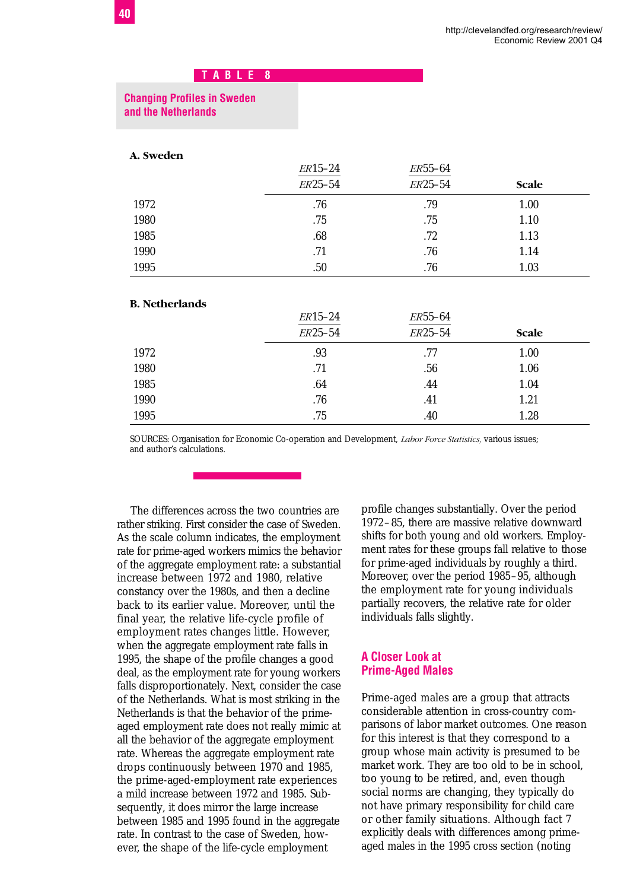#### **Changing Profiles in Sweden and the Netherlands**

#### **A. Sweden**

|      | $ER15-24$ | <i>ER</i> 55-64 |              |  |
|------|-----------|-----------------|--------------|--|
|      | ER25-54   | ER25-54         | <b>Scale</b> |  |
| 1972 | .76       | .79             | 1.00         |  |
| 1980 | .75       | .75             | 1.10         |  |
| 1985 | .68       | .72             | 1.13         |  |
| 1990 | .71       | .76             | 1.14         |  |
| 1995 | .50       | .76             | 1.03         |  |

#### **B. Netherlands**

|      | ER15-24 | ER55-64 |              |  |
|------|---------|---------|--------------|--|
|      | ER25-54 | ER25-54 | <b>Scale</b> |  |
| 1972 | .93     | .77     | 1.00         |  |
| 1980 | .71     | .56     | 1.06         |  |
| 1985 | .64     | .44     | 1.04         |  |
| 1990 | .76     | .41     | 1.21         |  |
| 1995 | .75     | .40     | 1.28         |  |

SOURCES: Organisation for Economic Co-operation and Development, *Labor Force Statistics,* various issues; and author's calculations.

The differences across the two countries are rather striking. First consider the case of Sweden. As the scale column indicates, the employment rate for prime-aged workers mimics the behavior of the aggregate employment rate: a substantial increase between 1972 and 1980, relative constancy over the 1980s, and then a decline back to its earlier value. Moreover, until the final year, the relative life-cycle profile of employment rates changes little. However, when the aggregate employment rate falls in 1995, the shape of the profile changes a good deal, as the employment rate for young workers falls disproportionately. Next, consider the case of the Netherlands. What is most striking in the Netherlands is that the behavior of the primeaged employment rate does not really mimic at all the behavior of the aggregate employment rate. Whereas the aggregate employment rate drops continuously between 1970 and 1985, the prime-aged-employment rate experiences a mild increase between 1972 and 1985. Subsequently, it does mirror the large increase between 1985 and 1995 found in the aggregate rate. In contrast to the case of Sweden, however, the shape of the life-cycle employment

profile changes substantially. Over the period 1972–85, there are massive relative downward shifts for both young and old workers. Employment rates for these groups fall relative to those for prime-aged individuals by roughly a third. Moreover, over the period 1985–95, although the employment rate for young individuals partially recovers, the relative rate for older individuals falls slightly.

#### **A Closer Look at Prime-Aged Males**

Prime-aged males are a group that attracts considerable attention in cross-country comparisons of labor market outcomes. One reason for this interest is that they correspond to a group whose main activity is presumed to be market work. They are too old to be in school, too young to be retired, and, even though social norms are changing, they typically do not have primary responsibility for child care or other family situations. Although fact 7 explicitly deals with differences among primeaged males in the 1995 cross section (noting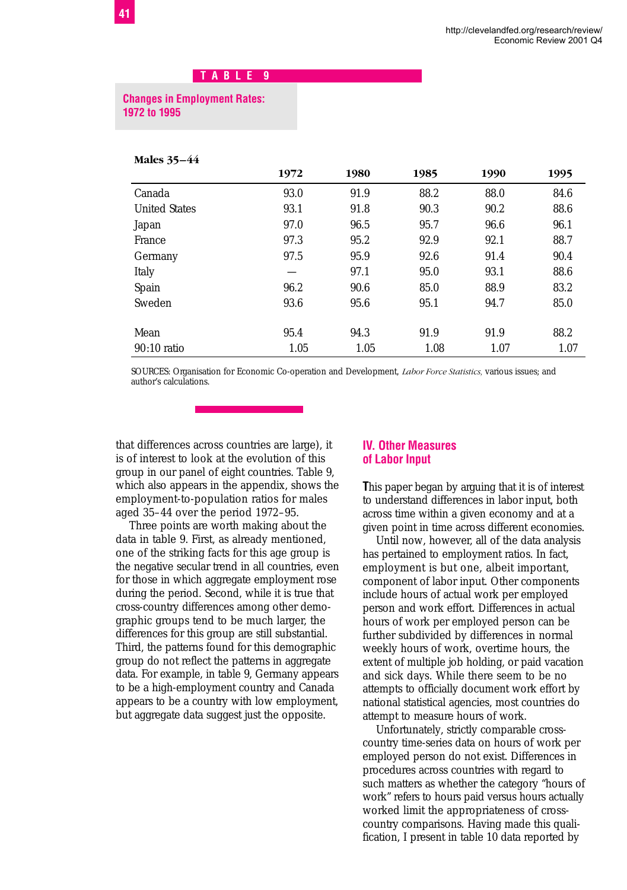#### **Changes in Employment Rates: 1972 to 1995**

#### **Males 35–44**

|                      | 1972 | 1980 | 1985 | 1990 | 1995 |
|----------------------|------|------|------|------|------|
| Canada               | 93.0 | 91.9 | 88.2 | 88.0 | 84.6 |
| <b>United States</b> | 93.1 | 91.8 | 90.3 | 90.2 | 88.6 |
| Japan                | 97.0 | 96.5 | 95.7 | 96.6 | 96.1 |
| France               | 97.3 | 95.2 | 92.9 | 92.1 | 88.7 |
| Germany              | 97.5 | 95.9 | 92.6 | 91.4 | 90.4 |
| Italy                |      | 97.1 | 95.0 | 93.1 | 88.6 |
| Spain                | 96.2 | 90.6 | 85.0 | 88.9 | 83.2 |
| Sweden               | 93.6 | 95.6 | 95.1 | 94.7 | 85.0 |
| Mean                 | 95.4 | 94.3 | 91.9 | 91.9 | 88.2 |
| $90:10$ ratio        | 1.05 | 1.05 | 1.08 | 1.07 | 1.07 |

SOURCES: Organisation for Economic Co-operation and Development, *Labor Force Statistics,* various issues; and author's calculations.

that differences across countries are large), it is of interest to look at the evolution of this group in our panel of eight countries. Table 9, which also appears in the appendix, shows the employment-to-population ratios for males aged 35–44 over the period 1972–95.

Three points are worth making about the data in table 9. First, as already mentioned, one of the striking facts for this age group is the negative secular trend in all countries, even for those in which aggregate employment rose during the period. Second, while it is true that cross-country differences among other demographic groups tend to be much larger, the differences for this group are still substantial. Third, the patterns found for this demographic group do not reflect the patterns in aggregate data. For example, in table 9, Germany appears to be a high-employment country and Canada appears to be a country with low employment, but aggregate data suggest just the opposite.

#### **IV. Other Measures of Labor Input**

**T**his paper began by arguing that it is of interest to understand differences in labor input, both across time within a given economy and at a given point in time across different economies.

Until now, however, all of the data analysis has pertained to employment ratios. In fact, employment is but one, albeit important, component of labor input. Other components include hours of actual work per employed person and work effort. Differences in actual hours of work per employed person can be further subdivided by differences in normal weekly hours of work, overtime hours, the extent of multiple job holding, or paid vacation and sick days. While there seem to be no attempts to officially document work effort by national statistical agencies, most countries do attempt to measure hours of work.

Unfortunately, strictly comparable crosscountry time-series data on hours of work per employed person do not exist. Differences in procedures across countries with regard to such matters as whether the category "hours of work" refers to hours paid versus hours actually worked limit the appropriateness of crosscountry comparisons. Having made this qualification, I present in table 10 data reported by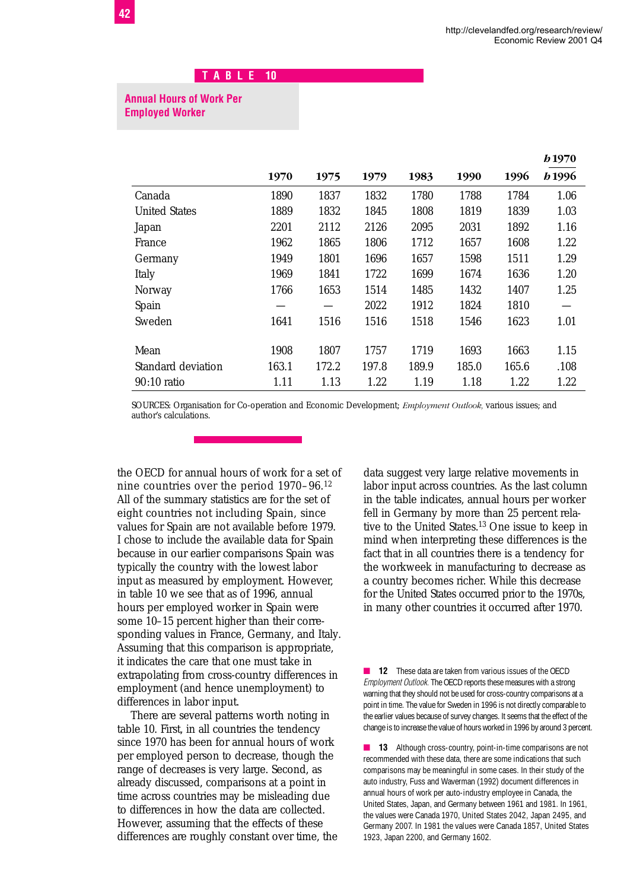*h***1970**

## **T A B L E 10**

#### **Annual Hours of Work Per Employed Worker**

|                      |       |       |       |       |       |       | 19 IY / V     |
|----------------------|-------|-------|-------|-------|-------|-------|---------------|
|                      | 1970  | 1975  | 1979  | 1983  | 1990  | 1996  | <i>b</i> 1996 |
| Canada               | 1890  | 1837  | 1832  | 1780  | 1788  | 1784  | 1.06          |
| <b>United States</b> | 1889  | 1832  | 1845  | 1808  | 1819  | 1839  | 1.03          |
| Japan                | 2201  | 2112  | 2126  | 2095  | 2031  | 1892  | 1.16          |
| France               | 1962  | 1865  | 1806  | 1712  | 1657  | 1608  | 1.22          |
| Germany              | 1949  | 1801  | 1696  | 1657  | 1598  | 1511  | 1.29          |
| Italy                | 1969  | 1841  | 1722  | 1699  | 1674  | 1636  | 1.20          |
| Norway               | 1766  | 1653  | 1514  | 1485  | 1432  | 1407  | 1.25          |
| Spain                |       |       | 2022  | 1912  | 1824  | 1810  |               |
| Sweden               | 1641  | 1516  | 1516  | 1518  | 1546  | 1623  | 1.01          |
|                      |       |       |       |       |       |       |               |
| Mean                 | 1908  | 1807  | 1757  | 1719  | 1693  | 1663  | 1.15          |
| Standard deviation   | 163.1 | 172.2 | 197.8 | 189.9 | 185.0 | 165.6 | .108          |
| $90:10$ ratio        | 1.11  | 1.13  | 1.22  | 1.19  | 1.18  | 1.22  | 1.22          |

SOURCES: Organisation for Co-operation and Economic Development; *Employment Outlook,* various issues; and author's calculations.

the OECD for annual hours of work for a set of nine countries over the period 1970–96.12 All of the summary statistics are for the set of eight countries not including Spain, since values for Spain are not available before 1979. I chose to include the available data for Spain because in our earlier comparisons Spain was typically the country with the lowest labor input as measured by employment. However, in table 10 we see that as of 1996, annual hours per employed worker in Spain were some 10–15 percent higher than their corresponding values in France, Germany, and Italy. Assuming that this comparison is appropriate, it indicates the care that one must take in extrapolating from cross-country differences in employment (and hence unemployment) to differences in labor input.

There are several patterns worth noting in table 10. First, in all countries the tendency since 1970 has been for annual hours of work per employed person to decrease, though the range of decreases is very large. Second, as already discussed, comparisons at a point in time across countries may be misleading due to differences in how the data are collected. However, assuming that the effects of these differences are roughly constant over time, the data suggest very large relative movements in labor input across countries. As the last column in the table indicates, annual hours per worker fell in Germany by more than 25 percent relative to the United States.13 One issue to keep in mind when interpreting these differences is the fact that in all countries there is a tendency for the workweek in manufacturing to decrease as a country becomes richer. While this decrease for the United States occurred prior to the 1970s, in many other countries it occurred after 1970.

■ **12** These data are taken from various issues of the OECD *Employment Outlook.* The OECD reports these measures with a strong warning that they should not be used for cross-country comparisons at a point in time. The value for Sweden in 1996 is not directly comparable to the earlier values because of survey changes. It seems that the effect of the change is to increase the value of hours worked in 1996 by around 3 percent.

■ **13** Although cross-country, point-in-time comparisons are not recommended with these data, there are some indications that such comparisons may be meaningful in some cases. In their study of the auto industry, Fuss and Waverman (1992) document differences in annual hours of work per auto-industry employee in Canada, the United States, Japan, and Germany between 1961 and 1981. In 1961, the values were Canada 1970, United States 2042, Japan 2495, and Germany 2007. In 1981 the values were Canada 1857, United States 1923, Japan 2200, and Germany 1602.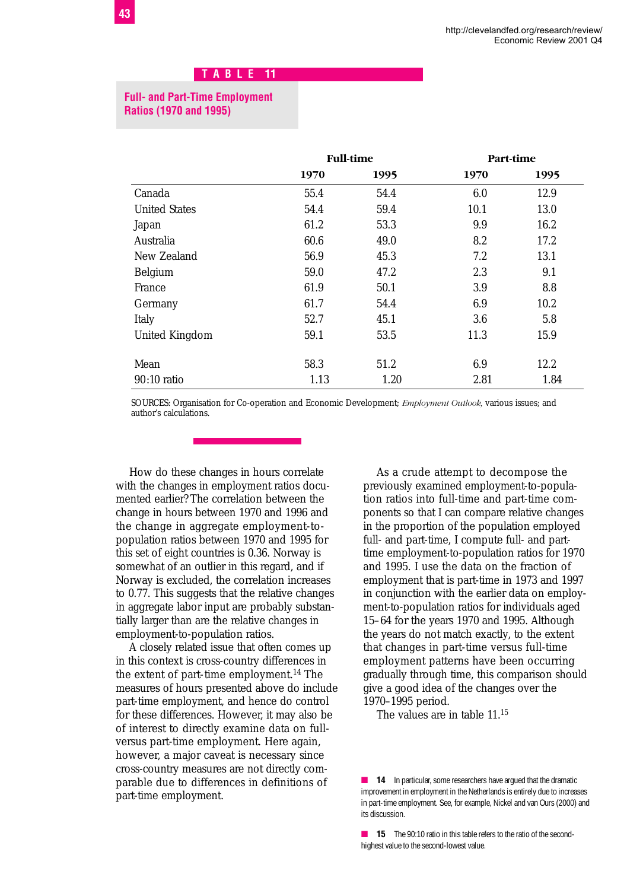# **T A B L E 11**

#### **Full- and Part-Time Employment Ratios (1970 and 1995)**

|                      | <b>Full-time</b> |      | Part-time |      |
|----------------------|------------------|------|-----------|------|
|                      | 1970             | 1995 | 1970      | 1995 |
| Canada               | 55.4             | 54.4 | 6.0       | 12.9 |
| <b>United States</b> | 54.4             | 59.4 | 10.1      | 13.0 |
| Japan                | 61.2             | 53.3 | 9.9       | 16.2 |
| Australia            | 60.6             | 49.0 | 8.2       | 17.2 |
| New Zealand          | 56.9             | 45.3 | 7.2       | 13.1 |
| Belgium              | 59.0             | 47.2 | 2.3       | 9.1  |
| France               | 61.9             | 50.1 | 3.9       | 8.8  |
| Germany              | 61.7             | 54.4 | 6.9       | 10.2 |
| Italy                | 52.7             | 45.1 | 3.6       | 5.8  |
| United Kingdom       | 59.1             | 53.5 | 11.3      | 15.9 |
| Mean                 | 58.3             | 51.2 | 6.9       | 12.2 |
| 90:10 ratio          | 1.13             | 1.20 | 2.81      | 1.84 |

SOURCES: Organisation for Co-operation and Economic Development; *Employment Outlook,* various issues; and author's calculations.

How do these changes in hours correlate with the changes in employment ratios documented earlier? The correlation between the change in hours between 1970 and 1996 and the change in aggregate employment-topopulation ratios between 1970 and 1995 for this set of eight countries is 0.36. Norway is somewhat of an outlier in this regard, and if Norway is excluded, the correlation increases to 0.77. This suggests that the relative changes in aggregate labor input are probably substantially larger than are the relative changes in employment-to-population ratios.

A closely related issue that often comes up in this context is cross-country differences in the extent of part-time employment.14 The measures of hours presented above do include part-time employment, and hence do control for these differences. However, it may also be of interest to directly examine data on fullversus part-time employment. Here again, however, a major caveat is necessary since cross-country measures are not directly comparable due to differences in definitions of part-time employment.

As a crude attempt to decompose the previously examined employment-to-population ratios into full-time and part-time components so that I can compare relative changes in the proportion of the population employed full- and part-time, I compute full- and parttime employment-to-population ratios for 1970 and 1995. I use the data on the fraction of employment that is part-time in 1973 and 1997 in conjunction with the earlier data on employment-to-population ratios for individuals aged 15–64 for the years 1970 and 1995. Although the years do not match exactly, to the extent that changes in part-time versus full-time employment patterns have been occurring gradually through time, this comparison should give a good idea of the changes over the 1970–1995 period.

The values are in table 11.15

■ **15** The 90:10 ratio in this table refers to the ratio of the secondhighest value to the second-lowest value.

**<sup>14</sup>** In particular, some researchers have argued that the dramatic improvement in employment in the Netherlands is entirely due to increases in part-time employment. See, for example, Nickel and van Ours (2000) and its discussion.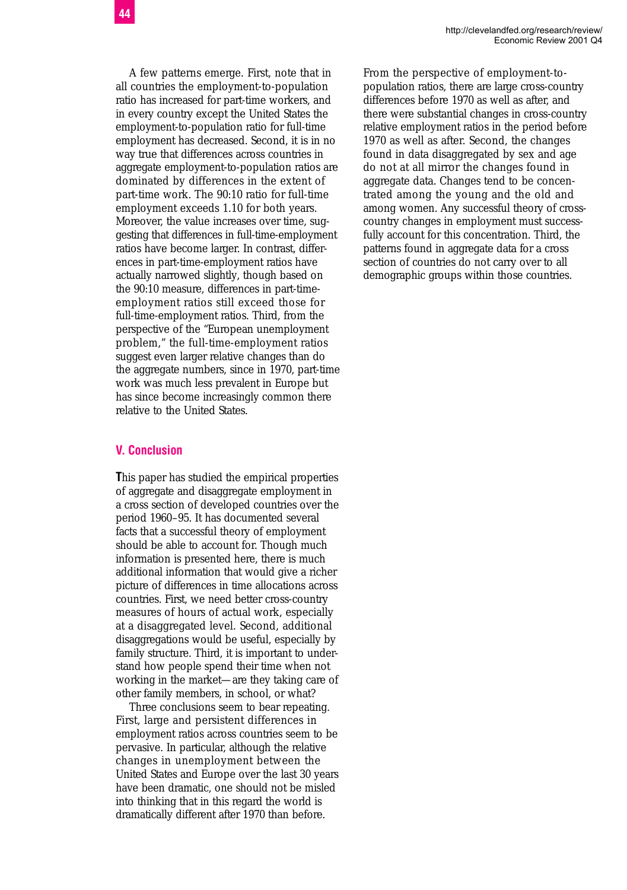A few patterns emerge. First, note that in all countries the employment-to-population ratio has increased for part-time workers, and in every country except the United States the employment-to-population ratio for full-time employment has decreased. Second, it is in no way true that differences across countries in aggregate employment-to-population ratios are dominated by differences in the extent of part-time work. The 90:10 ratio for full-time employment exceeds 1.10 for both years. Moreover, the value increases over time, suggesting that differences in full-time-employment ratios have become larger. In contrast, differences in part-time-employment ratios have actually narrowed slightly, though based on the 90:10 measure, differences in part-time-

**V. Conclusion** 

relative to the United States.

**T**his paper has studied the empirical properties of aggregate and disaggregate employment in a cross section of developed countries over the period 1960–95. It has documented several facts that a successful theory of employment should be able to account for. Though much information is presented here, there is much additional information that would give a richer picture of differences in time allocations across countries. First, we need better cross-country measures of hours of actual work, especially at a disaggregated level. Second, additional disaggregations would be useful, especially by family structure. Third, it is important to understand how people spend their time when not working in the market—are they taking care of other family members, in school, or what?

employment ratios still exceed those for full-time-employment ratios. Third, from the perspective of the "European unemployment problem," the full-time-employment ratios suggest even larger relative changes than do the aggregate numbers, since in 1970, part-time work was much less prevalent in Europe but has since become increasingly common there

Three conclusions seem to bear repeating. First, large and persistent differences in employment ratios across countries seem to be pervasive. In particular, although the relative changes in unemployment between the United States and Europe over the last 30 years have been dramatic, one should not be misled into thinking that in this regard the world is dramatically different after 1970 than before.

From the perspective of employment-topopulation ratios, there are large cross-country differences before 1970 as well as after, and there were substantial changes in cross-country relative employment ratios in the period before 1970 as well as after. Second, the changes found in data disaggregated by sex and age do not at all mirror the changes found in aggregate data. Changes tend to be concentrated among the young and the old and among women. Any successful theory of crosscountry changes in employment must successfully account for this concentration. Third, the patterns found in aggregate data for a cross section of countries do not carry over to all demographic groups within those countries.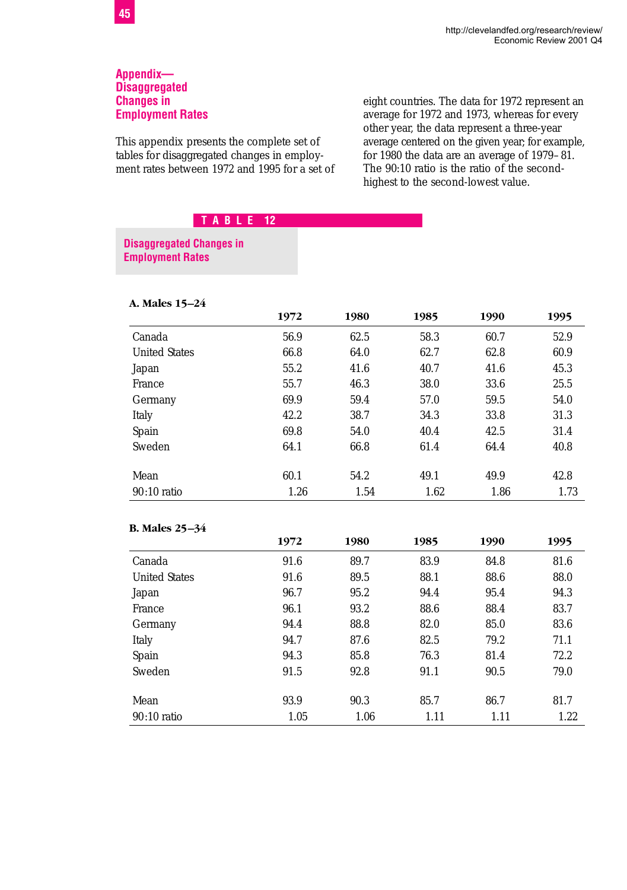#### **Appendix— Disaggregated Changes in Employment Rates**

This appendix presents the complete set of tables for disaggregated changes in employment rates between 1972 and 1995 for a set of eight countries. The data for 1972 represent an average for 1972 and 1973, whereas for every other year, the data represent a three-year average centered on the given year; for example, for 1980 the data are an average of 1979–81. The 90:10 ratio is the ratio of the secondhighest to the second-lowest value.

# **T A B L E 12**

#### **Disaggregated Changes in Employment Rates**

| A. Males 15–24       |      |      |      |      |      |
|----------------------|------|------|------|------|------|
|                      | 1972 | 1980 | 1985 | 1990 | 1995 |
| Canada               | 56.9 | 62.5 | 58.3 | 60.7 | 52.9 |
| <b>United States</b> | 66.8 | 64.0 | 62.7 | 62.8 | 60.9 |
| Japan                | 55.2 | 41.6 | 40.7 | 41.6 | 45.3 |
| France               | 55.7 | 46.3 | 38.0 | 33.6 | 25.5 |
| Germany              | 69.9 | 59.4 | 57.0 | 59.5 | 54.0 |
| Italy                | 42.2 | 38.7 | 34.3 | 33.8 | 31.3 |
| Spain                | 69.8 | 54.0 | 40.4 | 42.5 | 31.4 |
| Sweden               | 64.1 | 66.8 | 61.4 | 64.4 | 40.8 |
| Mean                 | 60.1 | 54.2 | 49.1 | 49.9 | 42.8 |
| $90:10$ ratio        | 1.26 | 1.54 | 1.62 | 1.86 | 1.73 |

#### **B. Males 25–34**

|                      | 1972 | 1980 | 1985 | 1990 | 1995 |
|----------------------|------|------|------|------|------|
| Canada               | 91.6 | 89.7 | 83.9 | 84.8 | 81.6 |
| <b>United States</b> | 91.6 | 89.5 | 88.1 | 88.6 | 88.0 |
| Japan                | 96.7 | 95.2 | 94.4 | 95.4 | 94.3 |
| France               | 96.1 | 93.2 | 88.6 | 88.4 | 83.7 |
| Germany              | 94.4 | 88.8 | 82.0 | 85.0 | 83.6 |
| Italy                | 94.7 | 87.6 | 82.5 | 79.2 | 71.1 |
| Spain                | 94.3 | 85.8 | 76.3 | 81.4 | 72.2 |
| Sweden               | 91.5 | 92.8 | 91.1 | 90.5 | 79.0 |
|                      |      |      |      |      |      |
| Mean                 | 93.9 | 90.3 | 85.7 | 86.7 | 81.7 |
| $90:10$ ratio        | 1.05 | 1.06 | 1.11 | 1.11 | 1.22 |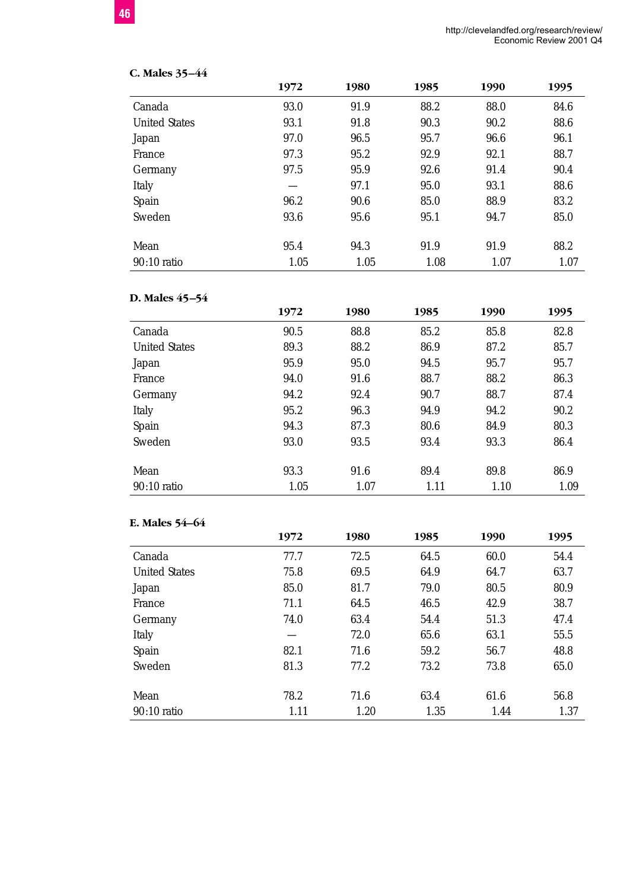| C. Males 35-44       |      |      |      |      |      |
|----------------------|------|------|------|------|------|
|                      | 1972 | 1980 | 1985 | 1990 | 1995 |
| Canada               | 93.0 | 91.9 | 88.2 | 88.0 | 84.6 |
| <b>United States</b> | 93.1 | 91.8 | 90.3 | 90.2 | 88.6 |
| Japan                | 97.0 | 96.5 | 95.7 | 96.6 | 96.1 |
| France               | 97.3 | 95.2 | 92.9 | 92.1 | 88.7 |
| Germany              | 97.5 | 95.9 | 92.6 | 91.4 | 90.4 |
| Italy                |      | 97.1 | 95.0 | 93.1 | 88.6 |
| Spain                | 96.2 | 90.6 | 85.0 | 88.9 | 83.2 |
| Sweden               | 93.6 | 95.6 | 95.1 | 94.7 | 85.0 |
| Mean                 | 95.4 | 94.3 | 91.9 | 91.9 | 88.2 |
| $90:10$ ratio        | 1.05 | 1.05 | 1.08 | 1.07 | 1.07 |

# **D. Males 45–54**

|                      | 1972 | 1980 | 1985 | 1990 | 1995 |
|----------------------|------|------|------|------|------|
| Canada               | 90.5 | 88.8 | 85.2 | 85.8 | 82.8 |
| <b>United States</b> | 89.3 | 88.2 | 86.9 | 87.2 | 85.7 |
| Japan                | 95.9 | 95.0 | 94.5 | 95.7 | 95.7 |
| France               | 94.0 | 91.6 | 88.7 | 88.2 | 86.3 |
| Germany              | 94.2 | 92.4 | 90.7 | 88.7 | 87.4 |
| Italy                | 95.2 | 96.3 | 94.9 | 94.2 | 90.2 |
| Spain                | 94.3 | 87.3 | 80.6 | 84.9 | 80.3 |
| Sweden               | 93.0 | 93.5 | 93.4 | 93.3 | 86.4 |
|                      |      |      |      |      |      |
| Mean                 | 93.3 | 91.6 | 89.4 | 89.8 | 86.9 |
| $90:10$ ratio        | 1.05 | 1.07 | 1.11 | 1.10 | 1.09 |

#### **E. Males 54–64**

|                      | 1972 | 1980 | 1985 | 1990 | 1995 |
|----------------------|------|------|------|------|------|
| Canada               | 77.7 | 72.5 | 64.5 | 60.0 | 54.4 |
| <b>United States</b> | 75.8 | 69.5 | 64.9 | 64.7 | 63.7 |
| Japan                | 85.0 | 81.7 | 79.0 | 80.5 | 80.9 |
| France               | 71.1 | 64.5 | 46.5 | 42.9 | 38.7 |
| Germany              | 74.0 | 63.4 | 54.4 | 51.3 | 47.4 |
| Italy                |      | 72.0 | 65.6 | 63.1 | 55.5 |
| Spain                | 82.1 | 71.6 | 59.2 | 56.7 | 48.8 |
| Sweden               | 81.3 | 77.2 | 73.2 | 73.8 | 65.0 |
| Mean                 | 78.2 | 71.6 | 63.4 | 61.6 | 56.8 |
| $90:10$ ratio        | 1.11 | 1.20 | 1.35 | 1.44 | 1.37 |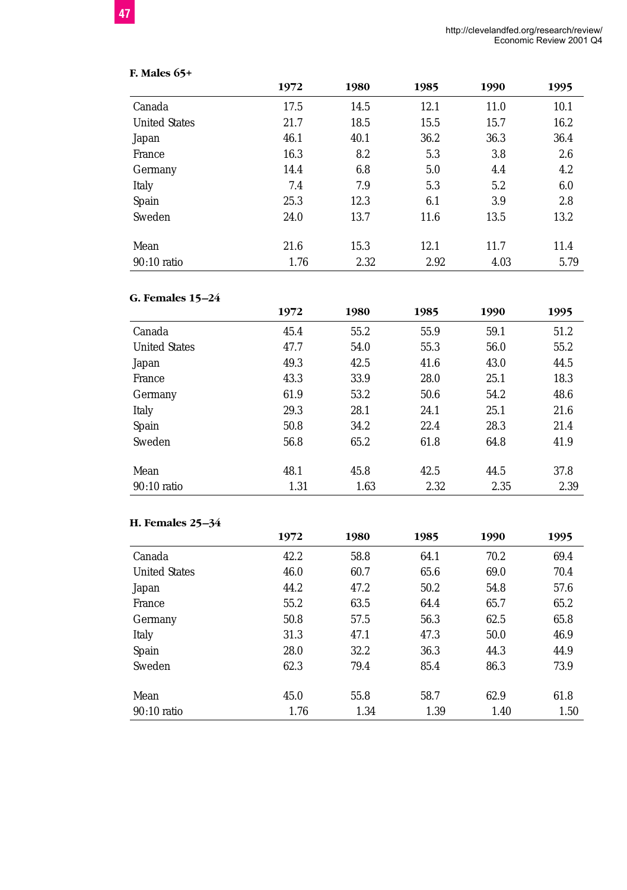| <b>F. Males 65+</b>  |      |      |      |      |      |
|----------------------|------|------|------|------|------|
|                      | 1972 | 1980 | 1985 | 1990 | 1995 |
| Canada               | 17.5 | 14.5 | 12.1 | 11.0 | 10.1 |
| <b>United States</b> | 21.7 | 18.5 | 15.5 | 15.7 | 16.2 |
| Japan                | 46.1 | 40.1 | 36.2 | 36.3 | 36.4 |
| France               | 16.3 | 8.2  | 5.3  | 3.8  | 2.6  |
| Germany              | 14.4 | 6.8  | 5.0  | 4.4  | 4.2  |
| Italy                | 7.4  | 7.9  | 5.3  | 5.2  | 6.0  |
| Spain                | 25.3 | 12.3 | 6.1  | 3.9  | 2.8  |
| Sweden               | 24.0 | 13.7 | 11.6 | 13.5 | 13.2 |
| Mean                 | 21.6 | 15.3 | 12.1 | 11.7 | 11.4 |
| $90:10$ ratio        | 1.76 | 2.32 | 2.92 | 4.03 | 5.79 |

# **G. Females 15–24**

|                      | 1972 | 1980 | 1985 | 1990 | 1995 |
|----------------------|------|------|------|------|------|
| Canada               | 45.4 | 55.2 | 55.9 | 59.1 | 51.2 |
| <b>United States</b> | 47.7 | 54.0 | 55.3 | 56.0 | 55.2 |
| Japan                | 49.3 | 42.5 | 41.6 | 43.0 | 44.5 |
| France               | 43.3 | 33.9 | 28.0 | 25.1 | 18.3 |
| Germany              | 61.9 | 53.2 | 50.6 | 54.2 | 48.6 |
| Italy                | 29.3 | 28.1 | 24.1 | 25.1 | 21.6 |
| Spain                | 50.8 | 34.2 | 22.4 | 28.3 | 21.4 |
| Sweden               | 56.8 | 65.2 | 61.8 | 64.8 | 41.9 |
| Mean                 | 48.1 | 45.8 | 42.5 | 44.5 | 37.8 |
| $90:10$ ratio        | 1.31 | 1.63 | 2.32 | 2.35 | 2.39 |

#### **H. Females 25–34**

|                      | 1972 | 1980 | 1985 | 1990 | 1995 |
|----------------------|------|------|------|------|------|
| Canada               | 42.2 | 58.8 | 64.1 | 70.2 | 69.4 |
| <b>United States</b> | 46.0 | 60.7 | 65.6 | 69.0 | 70.4 |
| Japan                | 44.2 | 47.2 | 50.2 | 54.8 | 57.6 |
| France               | 55.2 | 63.5 | 64.4 | 65.7 | 65.2 |
| Germany              | 50.8 | 57.5 | 56.3 | 62.5 | 65.8 |
| Italy                | 31.3 | 47.1 | 47.3 | 50.0 | 46.9 |
| Spain                | 28.0 | 32.2 | 36.3 | 44.3 | 44.9 |
| Sweden               | 62.3 | 79.4 | 85.4 | 86.3 | 73.9 |
| Mean                 | 45.0 | 55.8 | 58.7 | 62.9 | 61.8 |
| $90:10$ ratio        | 1.76 | 1.34 | 1.39 | 1.40 | 1.50 |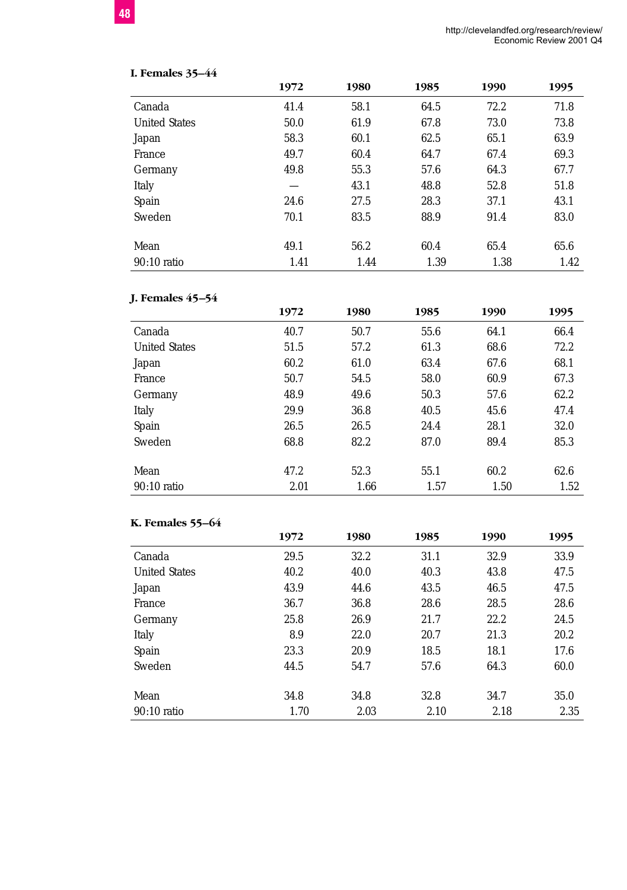|  | <b>I. Females 35-44</b> |  |
|--|-------------------------|--|
|--|-------------------------|--|

|                      | 1972 | 1980 | 1985 | 1990 | 1995 |
|----------------------|------|------|------|------|------|
| Canada               | 41.4 | 58.1 | 64.5 | 72.2 | 71.8 |
| <b>United States</b> | 50.0 | 61.9 | 67.8 | 73.0 | 73.8 |
| Japan                | 58.3 | 60.1 | 62.5 | 65.1 | 63.9 |
| France               | 49.7 | 60.4 | 64.7 | 67.4 | 69.3 |
| Germany              | 49.8 | 55.3 | 57.6 | 64.3 | 67.7 |
| Italy                |      | 43.1 | 48.8 | 52.8 | 51.8 |
| Spain                | 24.6 | 27.5 | 28.3 | 37.1 | 43.1 |
| Sweden               | 70.1 | 83.5 | 88.9 | 91.4 | 83.0 |
| Mean                 | 49.1 | 56.2 | 60.4 | 65.4 | 65.6 |
| $90:10$ ratio        | 1.41 | 1.44 | 1.39 | 1.38 | 1.42 |

# **J. Females 45–54**

|                      | 1972 | 1980 | 1985 | 1990 | 1995 |
|----------------------|------|------|------|------|------|
| Canada               | 40.7 | 50.7 | 55.6 | 64.1 | 66.4 |
| <b>United States</b> | 51.5 | 57.2 | 61.3 | 68.6 | 72.2 |
| Japan                | 60.2 | 61.0 | 63.4 | 67.6 | 68.1 |
| France               | 50.7 | 54.5 | 58.0 | 60.9 | 67.3 |
| Germany              | 48.9 | 49.6 | 50.3 | 57.6 | 62.2 |
| Italy                | 29.9 | 36.8 | 40.5 | 45.6 | 47.4 |
| Spain                | 26.5 | 26.5 | 24.4 | 28.1 | 32.0 |
| Sweden               | 68.8 | 82.2 | 87.0 | 89.4 | 85.3 |
|                      |      |      |      |      |      |
| Mean                 | 47.2 | 52.3 | 55.1 | 60.2 | 62.6 |
| $90:10$ ratio        | 2.01 | 1.66 | 1.57 | 1.50 | 1.52 |

#### **K. Females 55–64**

|                      | 1972 | 1980 | 1985 | 1990 | 1995 |
|----------------------|------|------|------|------|------|
| Canada               | 29.5 | 32.2 | 31.1 | 32.9 | 33.9 |
| <b>United States</b> | 40.2 | 40.0 | 40.3 | 43.8 | 47.5 |
| Japan                | 43.9 | 44.6 | 43.5 | 46.5 | 47.5 |
| France               | 36.7 | 36.8 | 28.6 | 28.5 | 28.6 |
| Germany              | 25.8 | 26.9 | 21.7 | 22.2 | 24.5 |
| Italy                | 8.9  | 22.0 | 20.7 | 21.3 | 20.2 |
| Spain                | 23.3 | 20.9 | 18.5 | 18.1 | 17.6 |
| Sweden               | 44.5 | 54.7 | 57.6 | 64.3 | 60.0 |
| Mean                 | 34.8 | 34.8 | 32.8 | 34.7 | 35.0 |
| $90:10$ ratio        | 1.70 | 2.03 | 2.10 | 2.18 | 2.35 |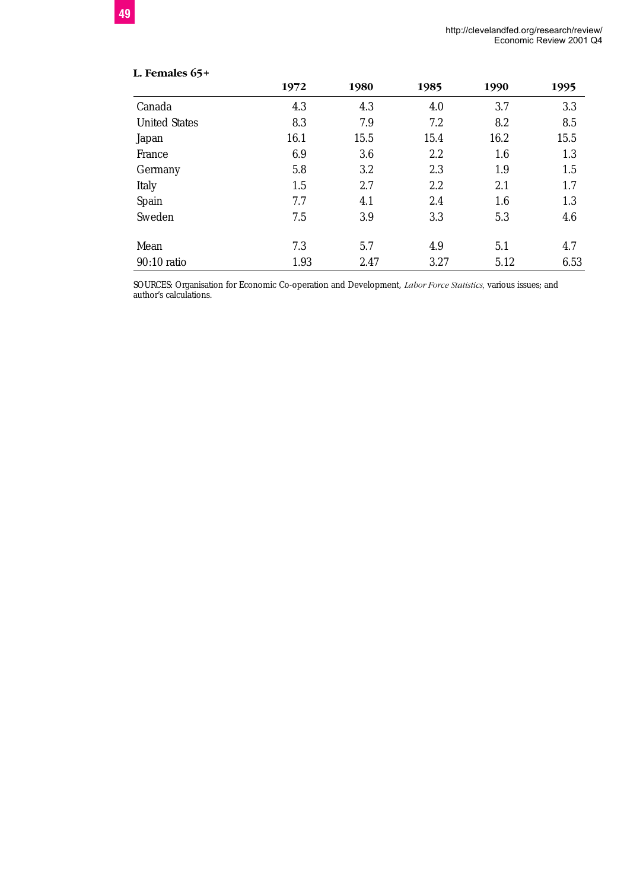| L. Females 65+       |      |      |      |      |      |
|----------------------|------|------|------|------|------|
|                      | 1972 | 1980 | 1985 | 1990 | 1995 |
| Canada               | 4.3  | 4.3  | 4.0  | 3.7  | 3.3  |
| <b>United States</b> | 8.3  | 7.9  | 7.2  | 8.2  | 8.5  |
| Japan                | 16.1 | 15.5 | 15.4 | 16.2 | 15.5 |
| France               | 6.9  | 3.6  | 2.2  | 1.6  | 1.3  |
| Germany              | 5.8  | 3.2  | 2.3  | 1.9  | 1.5  |
| Italy                | 1.5  | 2.7  | 2.2  | 2.1  | 1.7  |
| Spain                | 7.7  | 4.1  | 2.4  | 1.6  | 1.3  |
| Sweden               | 7.5  | 3.9  | 3.3  | 5.3  | 4.6  |
| Mean                 | 7.3  | 5.7  | 4.9  | 5.1  | 4.7  |
| 90:10 ratio          | 1.93 | 2.47 | 3.27 | 5.12 | 6.53 |

SOURCES: Organisation for Economic Co-operation and Development, *Labor Force Statistics,* various issues; and author's calculations.